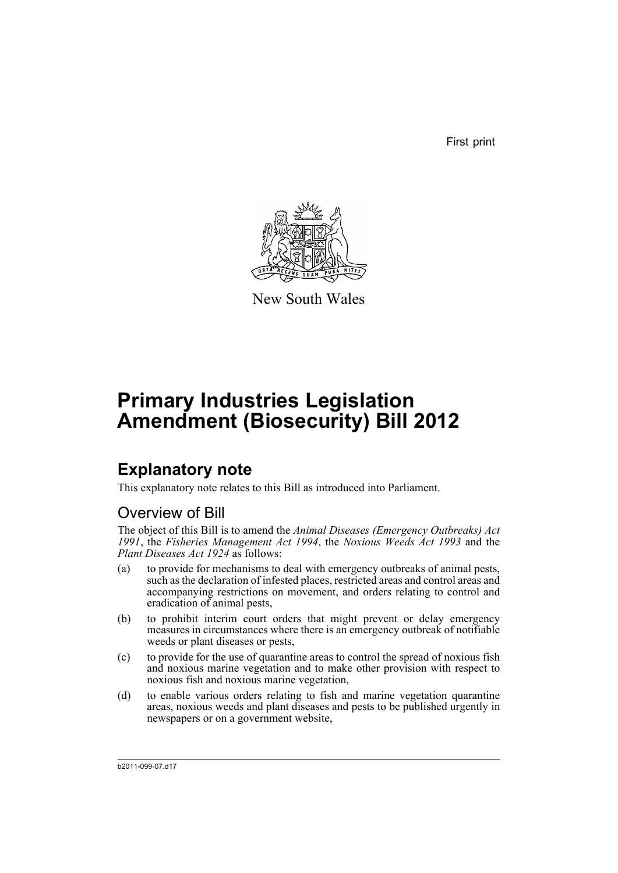First print



New South Wales

# **Primary Industries Legislation Amendment (Biosecurity) Bill 2012**

## **Explanatory note**

This explanatory note relates to this Bill as introduced into Parliament.

## Overview of Bill

The object of this Bill is to amend the *Animal Diseases (Emergency Outbreaks) Act 1991*, the *Fisheries Management Act 1994*, the *Noxious Weeds Act 1993* and the *Plant Diseases Act 1924* as follows:

- (a) to provide for mechanisms to deal with emergency outbreaks of animal pests, such as the declaration of infested places, restricted areas and control areas and accompanying restrictions on movement, and orders relating to control and eradication of animal pests,
- (b) to prohibit interim court orders that might prevent or delay emergency measures in circumstances where there is an emergency outbreak of notifiable weeds or plant diseases or pests,
- (c) to provide for the use of quarantine areas to control the spread of noxious fish and noxious marine vegetation and to make other provision with respect to noxious fish and noxious marine vegetation,
- (d) to enable various orders relating to fish and marine vegetation quarantine areas, noxious weeds and plant diseases and pests to be published urgently in newspapers or on a government website,

b2011-099-07.d17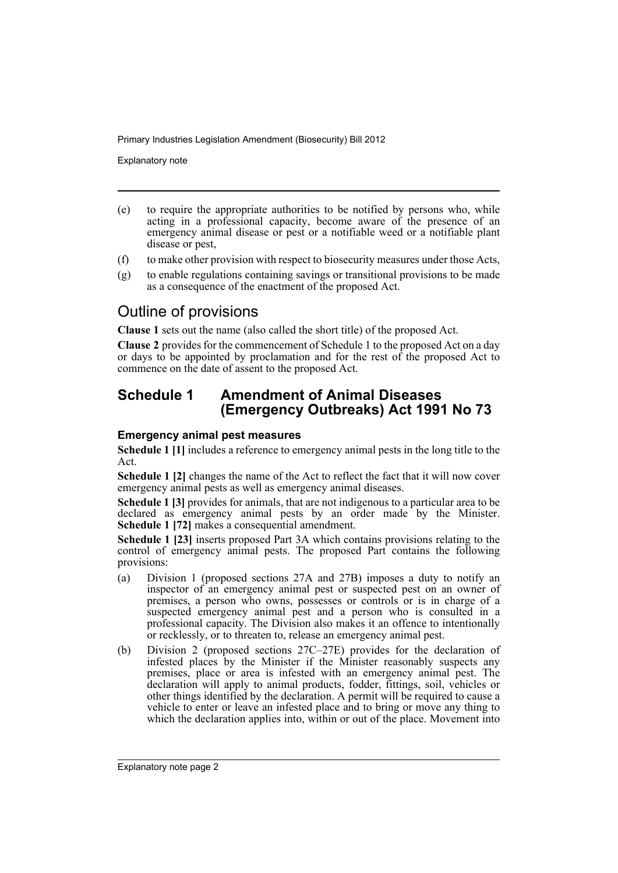Explanatory note

- (e) to require the appropriate authorities to be notified by persons who, while acting in a professional capacity, become aware of the presence of an emergency animal disease or pest or a notifiable weed or a notifiable plant disease or pest,
- (f) to make other provision with respect to biosecurity measures under those Acts,
- (g) to enable regulations containing savings or transitional provisions to be made as a consequence of the enactment of the proposed Act.

## Outline of provisions

**Clause 1** sets out the name (also called the short title) of the proposed Act.

**Clause 2** provides for the commencement of Schedule 1 to the proposed Act on a day or days to be appointed by proclamation and for the rest of the proposed Act to commence on the date of assent to the proposed Act.

## **Schedule 1 Amendment of Animal Diseases (Emergency Outbreaks) Act 1991 No 73**

## **Emergency animal pest measures**

**Schedule 1 [1]** includes a reference to emergency animal pests in the long title to the Act.

**Schedule 1 [2]** changes the name of the Act to reflect the fact that it will now cover emergency animal pests as well as emergency animal diseases.

**Schedule 1 [3]** provides for animals, that are not indigenous to a particular area to be declared as emergency animal pests by an order made by the Minister. **Schedule 1 [72]** makes a consequential amendment.

**Schedule 1 [23]** inserts proposed Part 3A which contains provisions relating to the control of emergency animal pests. The proposed Part contains the following provisions:

- (a) Division 1 (proposed sections 27A and 27B) imposes a duty to notify an inspector of an emergency animal pest or suspected pest on an owner of premises, a person who owns, possesses or controls or is in charge of a suspected emergency animal pest and a person who is consulted in a professional capacity. The Division also makes it an offence to intentionally or recklessly, or to threaten to, release an emergency animal pest.
- (b) Division 2 (proposed sections 27C–27E) provides for the declaration of infested places by the Minister if the Minister reasonably suspects any premises, place or area is infested with an emergency animal pest. The declaration will apply to animal products, fodder, fittings, soil, vehicles or other things identified by the declaration. A permit will be required to cause a vehicle to enter or leave an infested place and to bring or move any thing to which the declaration applies into, within or out of the place. Movement into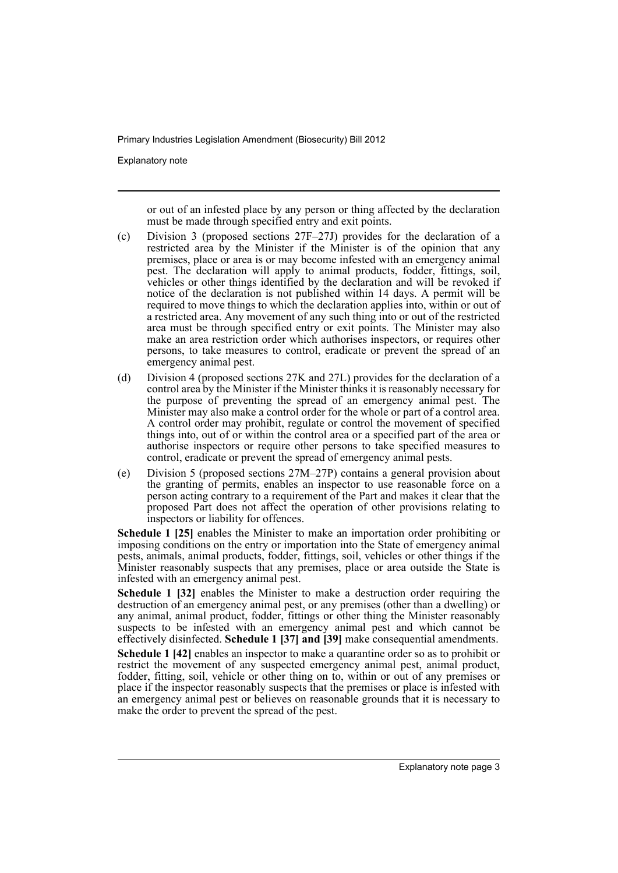Explanatory note

or out of an infested place by any person or thing affected by the declaration must be made through specified entry and exit points.

- (c) Division 3 (proposed sections 27F–27J) provides for the declaration of a restricted area by the Minister if the Minister is of the opinion that any premises, place or area is or may become infested with an emergency animal pest. The declaration will apply to animal products, fodder, fittings, soil, vehicles or other things identified by the declaration and will be revoked if notice of the declaration is not published within 14 days. A permit will be required to move things to which the declaration applies into, within or out of a restricted area. Any movement of any such thing into or out of the restricted area must be through specified entry or exit points. The Minister may also make an area restriction order which authorises inspectors, or requires other persons, to take measures to control, eradicate or prevent the spread of an emergency animal pest.
- (d) Division 4 (proposed sections 27K and 27L) provides for the declaration of a control area by the Minister if the Minister thinks it is reasonably necessary for the purpose of preventing the spread of an emergency animal pest. The Minister may also make a control order for the whole or part of a control area. A control order may prohibit, regulate or control the movement of specified things into, out of or within the control area or a specified part of the area or authorise inspectors or require other persons to take specified measures to control, eradicate or prevent the spread of emergency animal pests.
- (e) Division 5 (proposed sections 27M–27P) contains a general provision about the granting of permits, enables an inspector to use reasonable force on a person acting contrary to a requirement of the Part and makes it clear that the proposed Part does not affect the operation of other provisions relating to inspectors or liability for offences.

**Schedule 1 [25]** enables the Minister to make an importation order prohibiting or imposing conditions on the entry or importation into the State of emergency animal pests, animals, animal products, fodder, fittings, soil, vehicles or other things if the Minister reasonably suspects that any premises, place or area outside the State is infested with an emergency animal pest.

**Schedule 1 [32]** enables the Minister to make a destruction order requiring the destruction of an emergency animal pest, or any premises (other than a dwelling) or any animal, animal product, fodder, fittings or other thing the Minister reasonably suspects to be infested with an emergency animal pest and which cannot be effectively disinfected. **Schedule 1 [37] and [39]** make consequential amendments.

**Schedule 1 [42]** enables an inspector to make a quarantine order so as to prohibit or restrict the movement of any suspected emergency animal pest, animal product, fodder, fitting, soil, vehicle or other thing on to, within or out of any premises or place if the inspector reasonably suspects that the premises or place is infested with an emergency animal pest or believes on reasonable grounds that it is necessary to make the order to prevent the spread of the pest.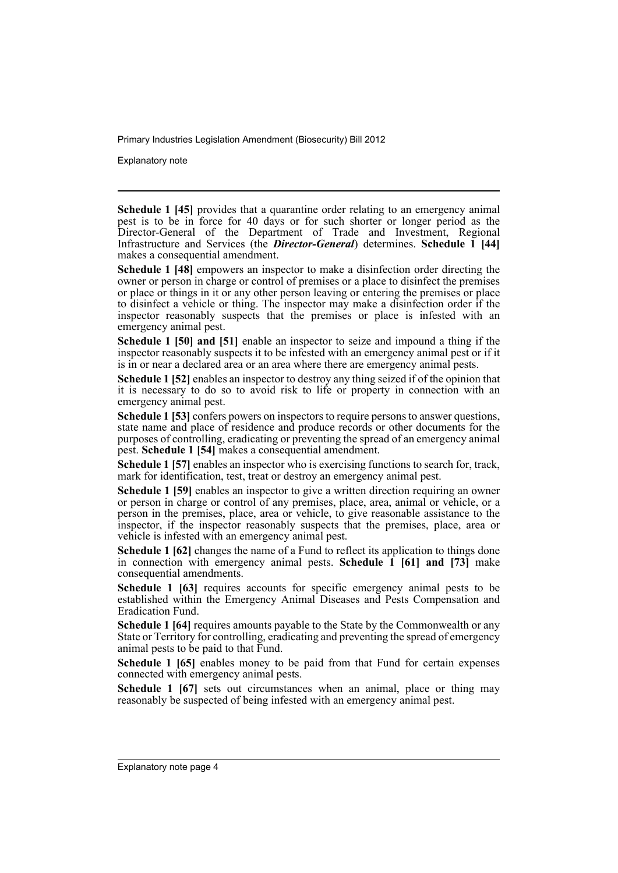Explanatory note

**Schedule 1 [45]** provides that a quarantine order relating to an emergency animal pest is to be in force for 40 days or for such shorter or longer period as the Director-General of the Department of Trade and Investment, Regional Infrastructure and Services (the *Director-General*) determines. **Schedule 1 [44]** makes a consequential amendment.

**Schedule 1 [48]** empowers an inspector to make a disinfection order directing the owner or person in charge or control of premises or a place to disinfect the premises or place or things in it or any other person leaving or entering the premises or place to disinfect a vehicle or thing. The inspector may make a disinfection order if the inspector reasonably suspects that the premises or place is infested with an emergency animal pest.

**Schedule 1 [50] and [51]** enable an inspector to seize and impound a thing if the inspector reasonably suspects it to be infested with an emergency animal pest or if it is in or near a declared area or an area where there are emergency animal pests.

**Schedule 1 [52]** enables an inspector to destroy any thing seized if of the opinion that it is necessary to do so to avoid risk to life or property in connection with an emergency animal pest.

**Schedule 1 [53]** confers powers on inspectors to require persons to answer questions, state name and place of residence and produce records or other documents for the purposes of controlling, eradicating or preventing the spread of an emergency animal pest. **Schedule 1 [54]** makes a consequential amendment.

**Schedule 1 [57]** enables an inspector who is exercising functions to search for, track, mark for identification, test, treat or destroy an emergency animal pest.

**Schedule 1 [59]** enables an inspector to give a written direction requiring an owner or person in charge or control of any premises, place, area, animal or vehicle, or a person in the premises, place, area or vehicle, to give reasonable assistance to the inspector, if the inspector reasonably suspects that the premises, place, area or vehicle is infested with an emergency animal pest.

**Schedule 1 [62]** changes the name of a Fund to reflect its application to things done in connection with emergency animal pests. **Schedule 1 [61] and [73]** make consequential amendments.

**Schedule 1 [63]** requires accounts for specific emergency animal pests to be established within the Emergency Animal Diseases and Pests Compensation and Eradication Fund.

**Schedule 1 [64]** requires amounts payable to the State by the Commonwealth or any State or Territory for controlling, eradicating and preventing the spread of emergency animal pests to be paid to that Fund.

**Schedule 1 [65]** enables money to be paid from that Fund for certain expenses connected with emergency animal pests.

**Schedule 1 [67]** sets out circumstances when an animal, place or thing may reasonably be suspected of being infested with an emergency animal pest.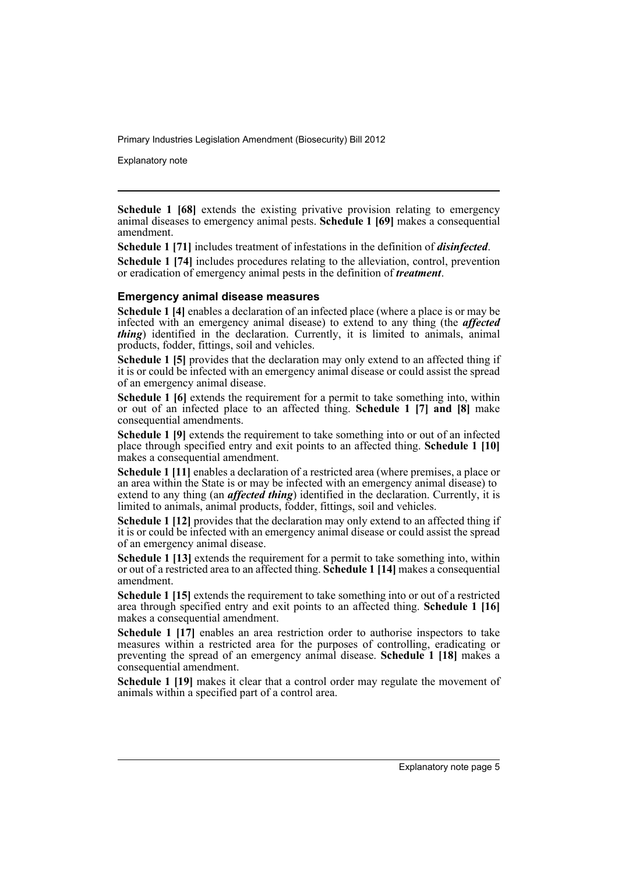Explanatory note

**Schedule 1 [68]** extends the existing privative provision relating to emergency animal diseases to emergency animal pests. **Schedule 1 [69]** makes a consequential amendment.

**Schedule 1 [71]** includes treatment of infestations in the definition of *disinfected*.

**Schedule 1 [74]** includes procedures relating to the alleviation, control, prevention or eradication of emergency animal pests in the definition of *treatment*.

#### **Emergency animal disease measures**

**Schedule 1 [4]** enables a declaration of an infected place (where a place is or may be infected with an emergency animal disease) to extend to any thing (the *affected thing*) identified in the declaration. Currently, it is limited to animals, animal products, fodder, fittings, soil and vehicles.

**Schedule 1 [5]** provides that the declaration may only extend to an affected thing if it is or could be infected with an emergency animal disease or could assist the spread of an emergency animal disease.

**Schedule 1 [6]** extends the requirement for a permit to take something into, within or out of an infected place to an affected thing. **Schedule 1 [7] and [8]** make consequential amendments.

**Schedule 1 [9]** extends the requirement to take something into or out of an infected place through specified entry and exit points to an affected thing. **Schedule 1 [10]** makes a consequential amendment.

**Schedule 1 [11]** enables a declaration of a restricted area (where premises, a place or an area within the State is or may be infected with an emergency animal disease) to extend to any thing (an *affected thing*) identified in the declaration. Currently, it is limited to animals, animal products, fodder, fittings, soil and vehicles.

**Schedule 1 [12]** provides that the declaration may only extend to an affected thing if it is or could be infected with an emergency animal disease or could assist the spread of an emergency animal disease.

**Schedule 1 [13]** extends the requirement for a permit to take something into, within or out of a restricted area to an affected thing. **Schedule 1 [14]** makes a consequential amendment.

**Schedule 1 [15]** extends the requirement to take something into or out of a restricted area through specified entry and exit points to an affected thing. **Schedule 1 [16]** makes a consequential amendment.

**Schedule 1 [17]** enables an area restriction order to authorise inspectors to take measures within a restricted area for the purposes of controlling, eradicating or preventing the spread of an emergency animal disease. **Schedule 1 [18]** makes a consequential amendment.

**Schedule 1 [19]** makes it clear that a control order may regulate the movement of animals within a specified part of a control area.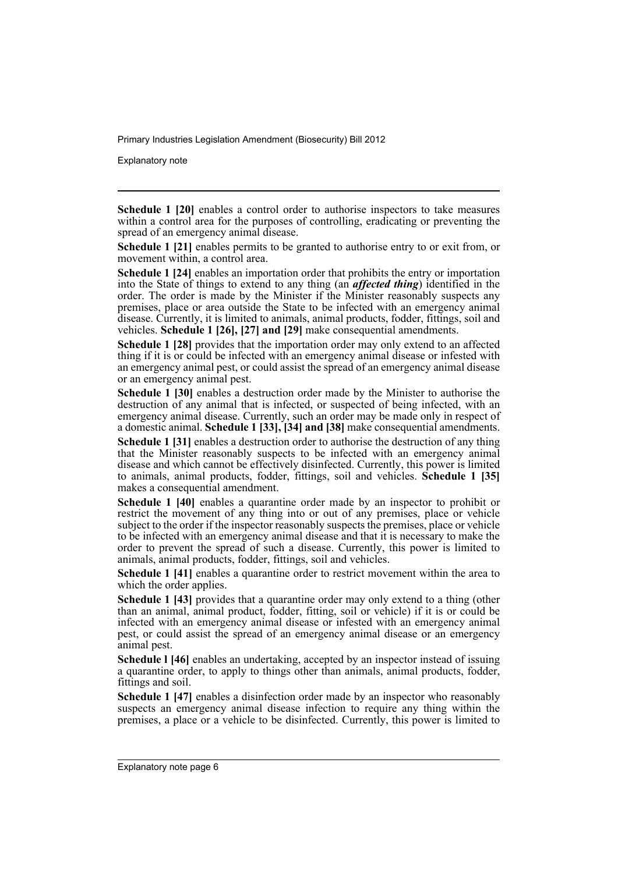Explanatory note

**Schedule 1 [20]** enables a control order to authorise inspectors to take measures within a control area for the purposes of controlling, eradicating or preventing the spread of an emergency animal disease.

**Schedule 1 [21]** enables permits to be granted to authorise entry to or exit from, or movement within, a control area.

**Schedule 1 [24]** enables an importation order that prohibits the entry or importation into the State of things to extend to any thing (an *affected thing*) identified in the order. The order is made by the Minister if the Minister reasonably suspects any premises, place or area outside the State to be infected with an emergency animal disease. Currently, it is limited to animals, animal products, fodder, fittings, soil and vehicles. **Schedule 1 [26], [27] and [29]** make consequential amendments.

**Schedule 1 [28]** provides that the importation order may only extend to an affected thing if it is or could be infected with an emergency animal disease or infested with an emergency animal pest, or could assist the spread of an emergency animal disease or an emergency animal pest.

**Schedule 1 [30]** enables a destruction order made by the Minister to authorise the destruction of any animal that is infected, or suspected of being infected, with an emergency animal disease. Currently, such an order may be made only in respect of a domestic animal. **Schedule 1 [33], [34] and [38]** make consequential amendments.

**Schedule 1 [31]** enables a destruction order to authorise the destruction of any thing that the Minister reasonably suspects to be infected with an emergency animal disease and which cannot be effectively disinfected. Currently, this power is limited to animals, animal products, fodder, fittings, soil and vehicles. **Schedule 1 [35]** makes a consequential amendment.

**Schedule 1 [40]** enables a quarantine order made by an inspector to prohibit or restrict the movement of any thing into or out of any premises, place or vehicle subject to the order if the inspector reasonably suspects the premises, place or vehicle to be infected with an emergency animal disease and that it is necessary to make the order to prevent the spread of such a disease. Currently, this power is limited to animals, animal products, fodder, fittings, soil and vehicles.

**Schedule 1 [41]** enables a quarantine order to restrict movement within the area to which the order applies.

**Schedule 1 [43]** provides that a quarantine order may only extend to a thing (other than an animal, animal product, fodder, fitting, soil or vehicle) if it is or could be infected with an emergency animal disease or infested with an emergency animal pest, or could assist the spread of an emergency animal disease or an emergency animal pest.

**Schedule I [46]** enables an undertaking, accepted by an inspector instead of issuing a quarantine order, to apply to things other than animals, animal products, fodder, fittings and soil.

**Schedule 1 [47]** enables a disinfection order made by an inspector who reasonably suspects an emergency animal disease infection to require any thing within the premises, a place or a vehicle to be disinfected. Currently, this power is limited to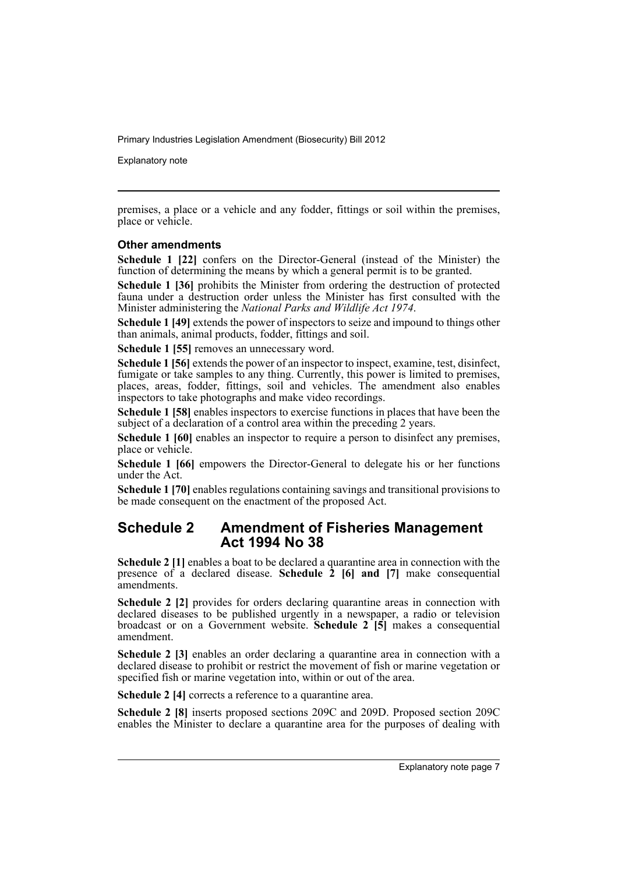Explanatory note

premises, a place or a vehicle and any fodder, fittings or soil within the premises, place or vehicle.

## **Other amendments**

**Schedule 1 [22]** confers on the Director-General (instead of the Minister) the function of determining the means by which a general permit is to be granted.

**Schedule 1 [36]** prohibits the Minister from ordering the destruction of protected fauna under a destruction order unless the Minister has first consulted with the Minister administering the *National Parks and Wildlife Act 1974*.

**Schedule 1 [49]** extends the power of inspectors to seize and impound to things other than animals, animal products, fodder, fittings and soil.

**Schedule 1 [55]** removes an unnecessary word.

**Schedule 1 [56]** extends the power of an inspector to inspect, examine, test, disinfect, fumigate or take samples to any thing. Currently, this power is limited to premises, places, areas, fodder, fittings, soil and vehicles. The amendment also enables inspectors to take photographs and make video recordings.

**Schedule 1 [58]** enables inspectors to exercise functions in places that have been the subject of a declaration of a control area within the preceding 2 years.

**Schedule 1 [60]** enables an inspector to require a person to disinfect any premises, place or vehicle.

**Schedule 1 [66]** empowers the Director-General to delegate his or her functions under the Act.

**Schedule 1 [70]** enables regulations containing savings and transitional provisions to be made consequent on the enactment of the proposed Act.

## **Schedule 2 Amendment of Fisheries Management Act 1994 No 38**

**Schedule 2** [1] enables a boat to be declared a quarantine area in connection with the presence of a declared disease. **Schedule 2 [6] and [7]** make consequential amendments.

**Schedule 2 [2]** provides for orders declaring quarantine areas in connection with declared diseases to be published urgently in a newspaper, a radio or television broadcast or on a Government website. **Schedule 2 [5]** makes a consequential amendment.

**Schedule 2 [3]** enables an order declaring a quarantine area in connection with a declared disease to prohibit or restrict the movement of fish or marine vegetation or specified fish or marine vegetation into, within or out of the area.

**Schedule 2 [4]** corrects a reference to a quarantine area.

**Schedule 2 [8]** inserts proposed sections 209C and 209D. Proposed section 209C enables the Minister to declare a quarantine area for the purposes of dealing with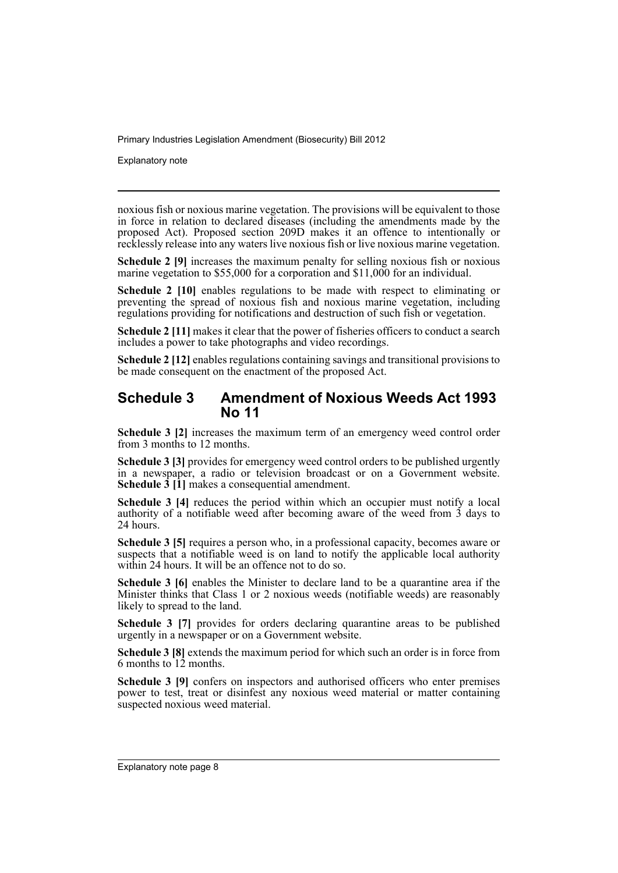Explanatory note

noxious fish or noxious marine vegetation. The provisions will be equivalent to those in force in relation to declared diseases (including the amendments made by the proposed Act). Proposed section 209D makes it an offence to intentionally or recklessly release into any waters live noxious fish or live noxious marine vegetation.

**Schedule 2 [9]** increases the maximum penalty for selling noxious fish or noxious marine vegetation to \$55,000 for a corporation and \$11,000 for an individual.

**Schedule 2 [10]** enables regulations to be made with respect to eliminating or preventing the spread of noxious fish and noxious marine vegetation, including regulations providing for notifications and destruction of such fish or vegetation.

**Schedule 2 [11]** makes it clear that the power of fisheries officers to conduct a search includes a power to take photographs and video recordings.

**Schedule 2 [12]** enables regulations containing savings and transitional provisions to be made consequent on the enactment of the proposed Act.

## **Schedule 3 Amendment of Noxious Weeds Act 1993 No 11**

**Schedule 3 [2]** increases the maximum term of an emergency weed control order from 3 months to 12 months.

**Schedule 3 [3]** provides for emergency weed control orders to be published urgently in a newspaper, a radio or television broadcast or on a Government website. **Schedule 3** [1] makes a consequential amendment.

**Schedule 3 [4]** reduces the period within which an occupier must notify a local authority of a notifiable weed after becoming aware of the weed from  $\tilde{3}$  days to 24 hours.

**Schedule 3 [5]** requires a person who, in a professional capacity, becomes aware or suspects that a notifiable weed is on land to notify the applicable local authority within 24 hours. It will be an offence not to do so.

**Schedule 3 [6]** enables the Minister to declare land to be a quarantine area if the Minister thinks that Class 1 or 2 noxious weeds (notifiable weeds) are reasonably likely to spread to the land.

**Schedule 3 [7]** provides for orders declaring quarantine areas to be published urgently in a newspaper or on a Government website.

**Schedule 3 [8]** extends the maximum period for which such an order is in force from 6 months to 12 months.

**Schedule 3 [9]** confers on inspectors and authorised officers who enter premises power to test, treat or disinfest any noxious weed material or matter containing suspected noxious weed material.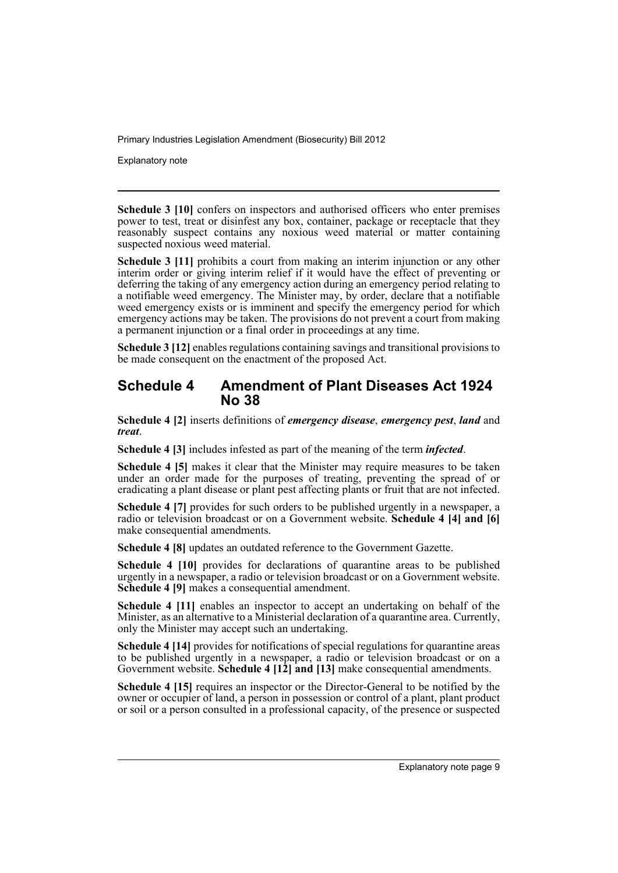Explanatory note

**Schedule 3 [10]** confers on inspectors and authorised officers who enter premises power to test, treat or disinfest any box, container, package or receptacle that they reasonably suspect contains any noxious weed material or matter containing suspected noxious weed material.

**Schedule 3 [11]** prohibits a court from making an interim injunction or any other interim order or giving interim relief if it would have the effect of preventing or deferring the taking of any emergency action during an emergency period relating to a notifiable weed emergency. The Minister may, by order, declare that a notifiable weed emergency exists or is imminent and specify the emergency period for which emergency actions may be taken. The provisions do not prevent a court from making a permanent injunction or a final order in proceedings at any time.

**Schedule 3 [12]** enables regulations containing savings and transitional provisions to be made consequent on the enactment of the proposed Act.

## **Schedule 4 Amendment of Plant Diseases Act 1924 No 38**

**Schedule 4 [2]** inserts definitions of *emergency disease*, *emergency pest*, *land* and *treat*.

**Schedule 4 [3]** includes infested as part of the meaning of the term *infected*.

**Schedule 4 [5]** makes it clear that the Minister may require measures to be taken under an order made for the purposes of treating, preventing the spread of or eradicating a plant disease or plant pest affecting plants or fruit that are not infected.

**Schedule 4 [7]** provides for such orders to be published urgently in a newspaper, a radio or television broadcast or on a Government website. **Schedule 4 [4] and [6]** make consequential amendments.

**Schedule 4 [8]** updates an outdated reference to the Government Gazette.

**Schedule 4 [10]** provides for declarations of quarantine areas to be published urgently in a newspaper, a radio or television broadcast or on a Government website. **Schedule 4 [9]** makes a consequential amendment.

**Schedule 4 [11]** enables an inspector to accept an undertaking on behalf of the Minister, as an alternative to a Ministerial declaration of a quarantine area. Currently, only the Minister may accept such an undertaking.

**Schedule 4 [14]** provides for notifications of special regulations for quarantine areas to be published urgently in a newspaper, a radio or television broadcast or on a Government website. **Schedule 4 [12] and [13]** make consequential amendments.

**Schedule 4 [15]** requires an inspector or the Director-General to be notified by the owner or occupier of land, a person in possession or control of a plant, plant product or soil or a person consulted in a professional capacity, of the presence or suspected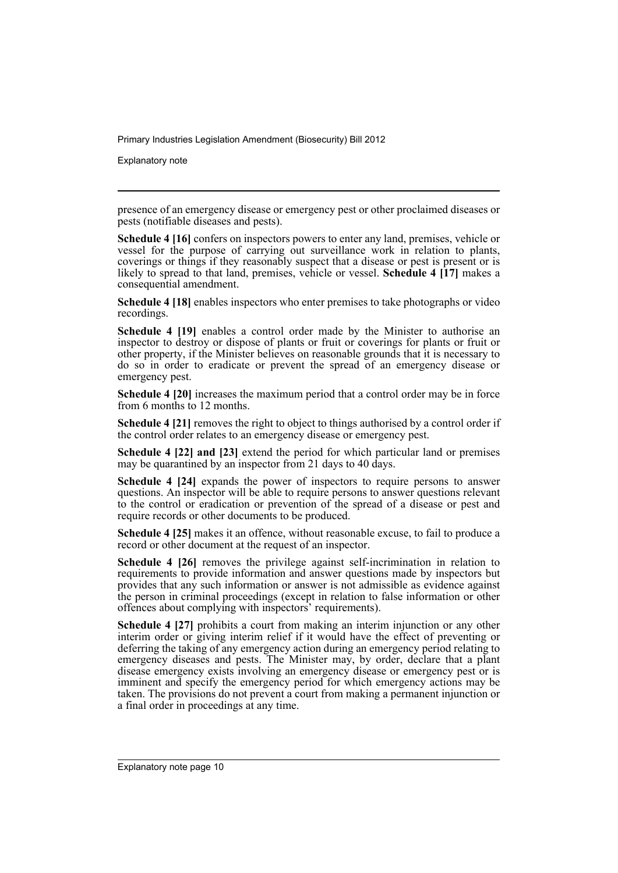Explanatory note

presence of an emergency disease or emergency pest or other proclaimed diseases or pests (notifiable diseases and pests).

**Schedule 4 [16]** confers on inspectors powers to enter any land, premises, vehicle or vessel for the purpose of carrying out surveillance work in relation to plants, coverings or things if they reasonably suspect that a disease or pest is present or is likely to spread to that land, premises, vehicle or vessel. **Schedule 4 [17]** makes a consequential amendment.

**Schedule 4 [18]** enables inspectors who enter premises to take photographs or video recordings.

**Schedule 4 [19]** enables a control order made by the Minister to authorise an inspector to destroy or dispose of plants or fruit or coverings for plants or fruit or other property, if the Minister believes on reasonable grounds that it is necessary to do so in order to eradicate or prevent the spread of an emergency disease or emergency pest.

**Schedule 4 [20]** increases the maximum period that a control order may be in force from 6 months to 12 months.

**Schedule 4 [21]** removes the right to object to things authorised by a control order if the control order relates to an emergency disease or emergency pest.

**Schedule 4 [22] and [23]** extend the period for which particular land or premises may be quarantined by an inspector from 21 days to 40 days.

**Schedule 4 [24]** expands the power of inspectors to require persons to answer questions. An inspector will be able to require persons to answer questions relevant to the control or eradication or prevention of the spread of a disease or pest and require records or other documents to be produced.

**Schedule 4 [25]** makes it an offence, without reasonable excuse, to fail to produce a record or other document at the request of an inspector.

**Schedule 4 [26]** removes the privilege against self-incrimination in relation to requirements to provide information and answer questions made by inspectors but provides that any such information or answer is not admissible as evidence against the person in criminal proceedings (except in relation to false information or other offences about complying with inspectors' requirements).

**Schedule 4 [27]** prohibits a court from making an interim injunction or any other interim order or giving interim relief if it would have the effect of preventing or deferring the taking of any emergency action during an emergency period relating to emergency diseases and pests. The Minister may, by order, declare that a plant disease emergency exists involving an emergency disease or emergency pest or is imminent and specify the emergency period for which emergency actions may be taken. The provisions do not prevent a court from making a permanent injunction or a final order in proceedings at any time.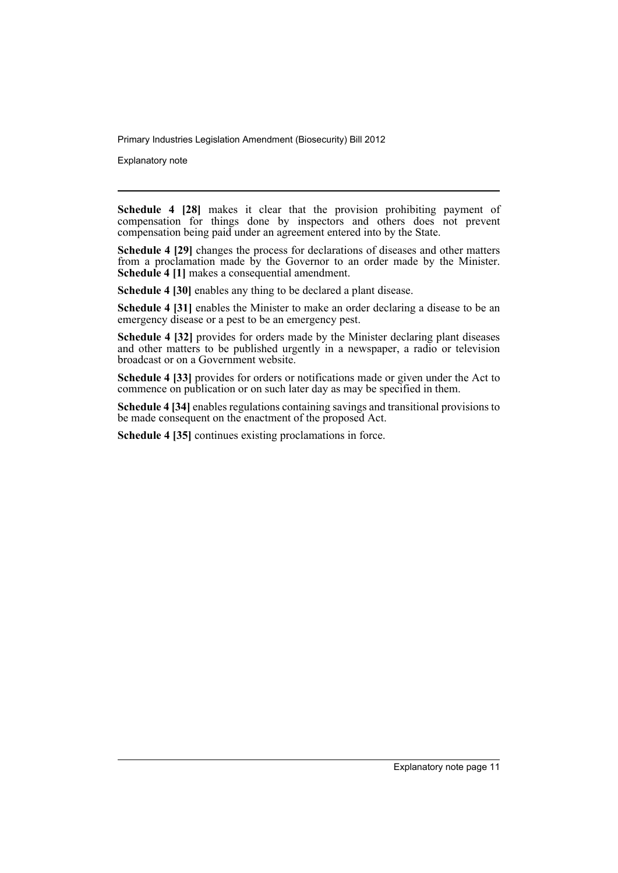Explanatory note

**Schedule 4 [28]** makes it clear that the provision prohibiting payment of compensation for things done by inspectors and others does not prevent compensation being paid under an agreement entered into by the State.

**Schedule 4 [29]** changes the process for declarations of diseases and other matters from a proclamation made by the Governor to an order made by the Minister. **Schedule 4 [1]** makes a consequential amendment.

**Schedule 4 [30]** enables any thing to be declared a plant disease.

**Schedule 4 [31]** enables the Minister to make an order declaring a disease to be an emergency disease or a pest to be an emergency pest.

**Schedule 4 [32]** provides for orders made by the Minister declaring plant diseases and other matters to be published urgently in a newspaper, a radio or television broadcast or on a Government website.

**Schedule 4 [33]** provides for orders or notifications made or given under the Act to commence on publication or on such later day as may be specified in them.

**Schedule 4 [34]** enables regulations containing savings and transitional provisions to be made consequent on the enactment of the proposed Act.

**Schedule 4 [35]** continues existing proclamations in force.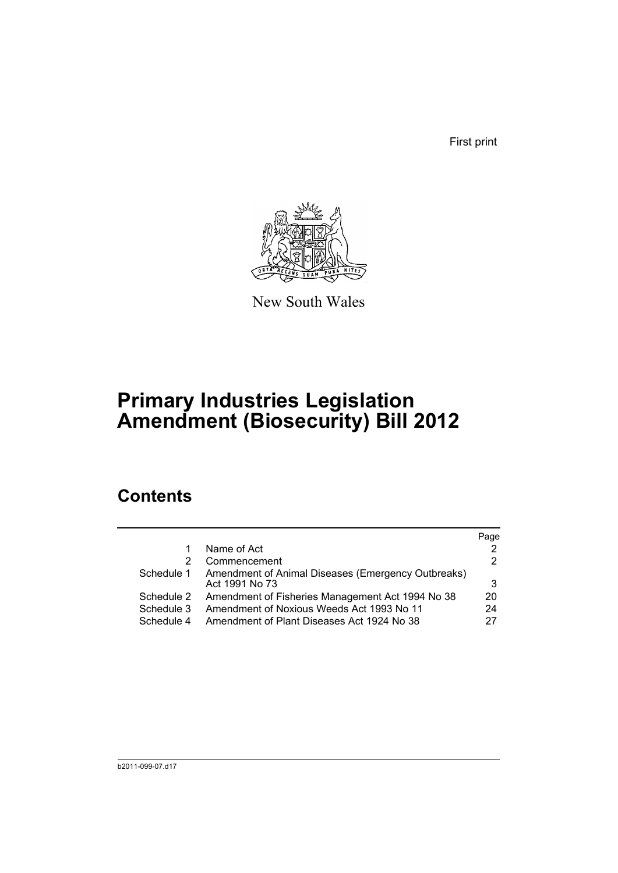First print



New South Wales

# **Primary Industries Legislation Amendment (Biosecurity) Bill 2012**

## **Contents**

|            |                                                                      | Page |
|------------|----------------------------------------------------------------------|------|
|            | Name of Act                                                          |      |
| 2          | Commencement                                                         | 2    |
| Schedule 1 | Amendment of Animal Diseases (Emergency Outbreaks)<br>Act 1991 No 73 | 3    |
| Schedule 2 | Amendment of Fisheries Management Act 1994 No 38                     | 20   |
| Schedule 3 | Amendment of Noxious Weeds Act 1993 No 11                            | 24   |
| Schedule 4 | Amendment of Plant Diseases Act 1924 No 38                           | 27   |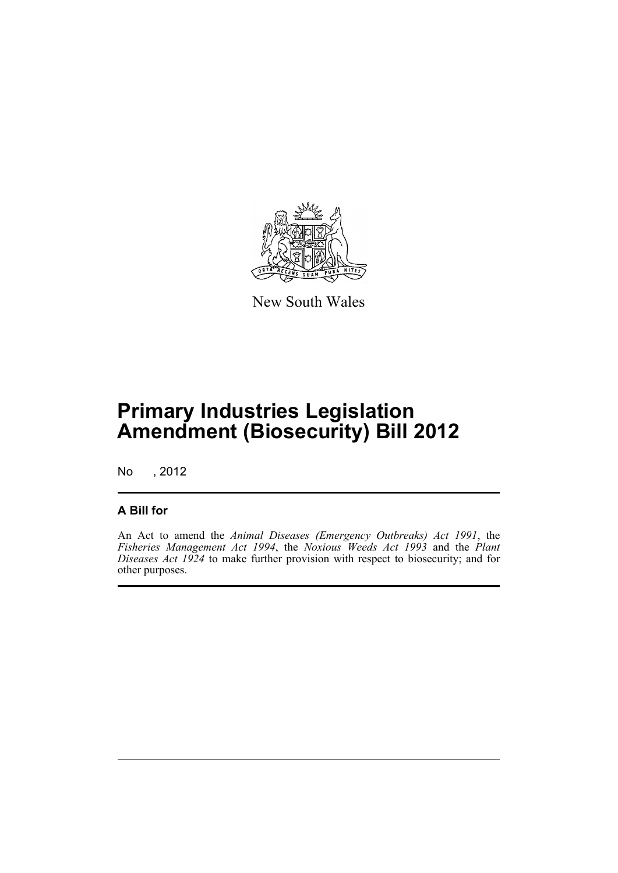

New South Wales

# **Primary Industries Legislation Amendment (Biosecurity) Bill 2012**

No , 2012

## **A Bill for**

An Act to amend the *Animal Diseases (Emergency Outbreaks) Act 1991*, the *Fisheries Management Act 1994*, the *Noxious Weeds Act 1993* and the *Plant Diseases Act 1924* to make further provision with respect to biosecurity; and for other purposes.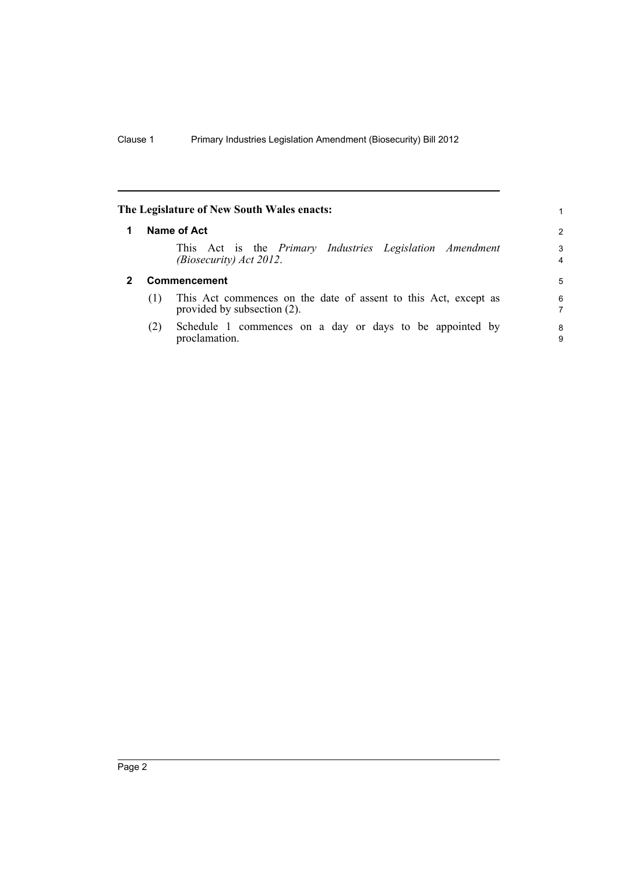<span id="page-15-1"></span><span id="page-15-0"></span>

|   |     | The Legislature of New South Wales enacts:                                                     | 1.                  |
|---|-----|------------------------------------------------------------------------------------------------|---------------------|
| 1 |     | Name of Act                                                                                    | $\mathcal{P}$       |
|   |     | This Act is the <i>Primary Industries Legislation Amendment</i><br>(Biosecurity) Act 2012.     | 3<br>$\overline{4}$ |
| 2 |     | <b>Commencement</b>                                                                            | 5                   |
|   | (1) | This Act commences on the date of assent to this Act, except as<br>provided by subsection (2). | 6<br>7              |
|   | (2) | Schedule 1 commences on a day or days to be appointed by<br>proclamation.                      | 8<br>9              |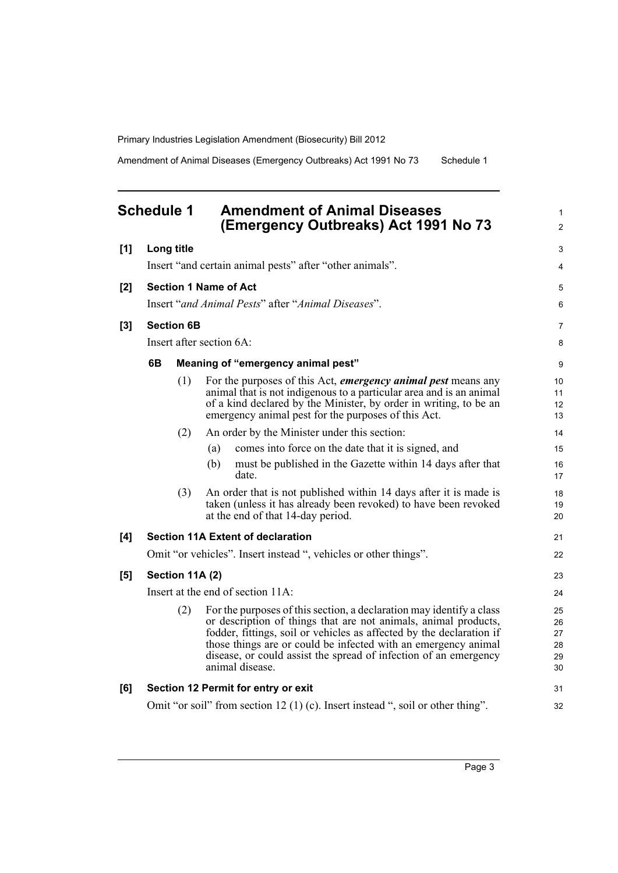Amendment of Animal Diseases (Emergency Outbreaks) Act 1991 No 73 Schedule 1

<span id="page-16-0"></span>

|       | <b>Schedule 1</b> |                   | <b>Amendment of Animal Diseases</b><br>(Emergency Outbreaks) Act 1991 No 73                                                                                                                                                                                                                                                                                              | $\mathbf{1}$<br>2                |
|-------|-------------------|-------------------|--------------------------------------------------------------------------------------------------------------------------------------------------------------------------------------------------------------------------------------------------------------------------------------------------------------------------------------------------------------------------|----------------------------------|
| [1]   |                   | Long title        |                                                                                                                                                                                                                                                                                                                                                                          | 3                                |
|       |                   |                   | Insert "and certain animal pests" after "other animals".                                                                                                                                                                                                                                                                                                                 | $\overline{4}$                   |
| [2]   |                   |                   | <b>Section 1 Name of Act</b>                                                                                                                                                                                                                                                                                                                                             | 5                                |
|       |                   |                   | Insert "and Animal Pests" after "Animal Diseases".                                                                                                                                                                                                                                                                                                                       | 6                                |
| $[3]$ |                   | <b>Section 6B</b> |                                                                                                                                                                                                                                                                                                                                                                          | $\overline{7}$                   |
|       |                   |                   | Insert after section 6A:                                                                                                                                                                                                                                                                                                                                                 | 8                                |
|       | 6B                |                   | Meaning of "emergency animal pest"                                                                                                                                                                                                                                                                                                                                       | 9                                |
|       |                   | (1)               | For the purposes of this Act, <i>emergency animal pest</i> means any<br>animal that is not indigenous to a particular area and is an animal<br>of a kind declared by the Minister, by order in writing, to be an<br>emergency animal pest for the purposes of this Act.                                                                                                  | 10<br>11<br>12<br>13             |
|       |                   | (2)               | An order by the Minister under this section:                                                                                                                                                                                                                                                                                                                             | 14                               |
|       |                   |                   | comes into force on the date that it is signed, and<br>(a)                                                                                                                                                                                                                                                                                                               | 15                               |
|       |                   |                   | (b)<br>must be published in the Gazette within 14 days after that<br>date.                                                                                                                                                                                                                                                                                               | 16<br>17                         |
|       |                   | (3)               | An order that is not published within 14 days after it is made is<br>taken (unless it has already been revoked) to have been revoked<br>at the end of that 14-day period.                                                                                                                                                                                                | 18<br>19<br>20                   |
| [4]   |                   |                   | <b>Section 11A Extent of declaration</b>                                                                                                                                                                                                                                                                                                                                 | 21                               |
|       |                   |                   | Omit "or vehicles". Insert instead ", vehicles or other things".                                                                                                                                                                                                                                                                                                         | 22                               |
| [5]   |                   | Section 11A (2)   |                                                                                                                                                                                                                                                                                                                                                                          | 23                               |
|       |                   |                   | Insert at the end of section 11A:                                                                                                                                                                                                                                                                                                                                        | 24                               |
|       |                   | (2)               | For the purposes of this section, a declaration may identify a class<br>or description of things that are not animals, animal products,<br>fodder, fittings, soil or vehicles as affected by the declaration if<br>those things are or could be infected with an emergency animal<br>disease, or could assist the spread of infection of an emergency<br>animal disease. | 25<br>26<br>27<br>28<br>29<br>30 |
| [6]   |                   |                   | Section 12 Permit for entry or exit                                                                                                                                                                                                                                                                                                                                      | 31                               |
|       |                   |                   | Omit "or soil" from section 12 (1) (c). Insert instead ", soil or other thing".                                                                                                                                                                                                                                                                                          | 32                               |
|       |                   |                   |                                                                                                                                                                                                                                                                                                                                                                          |                                  |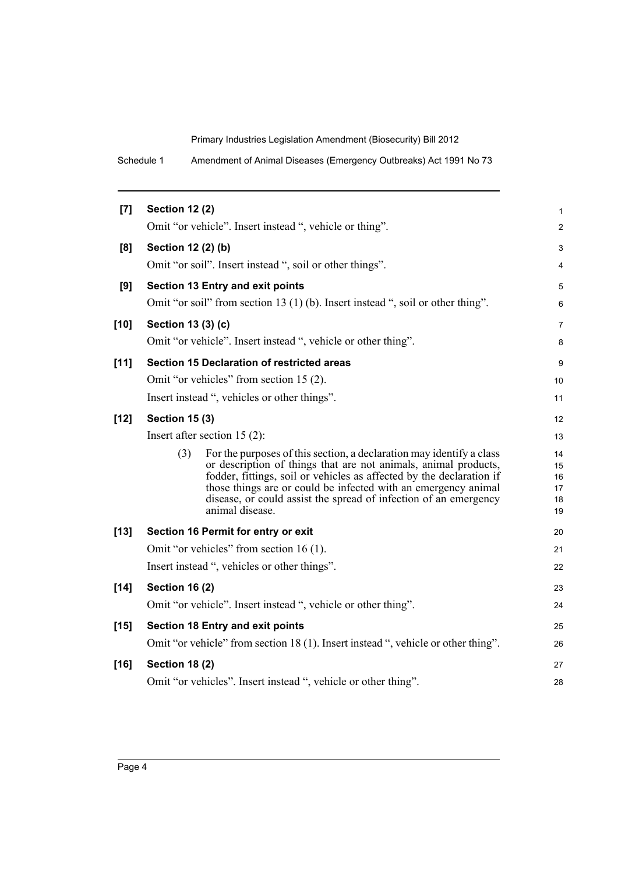Schedule 1 Amendment of Animal Diseases (Emergency Outbreaks) Act 1991 No 73

| [7]    | <b>Section 12 (2)</b>                                                                                                                                                                                                                                                                                                                                                           | 1                                |
|--------|---------------------------------------------------------------------------------------------------------------------------------------------------------------------------------------------------------------------------------------------------------------------------------------------------------------------------------------------------------------------------------|----------------------------------|
|        | Omit "or vehicle". Insert instead ", vehicle or thing".                                                                                                                                                                                                                                                                                                                         | $\overline{c}$                   |
| [8]    | Section 12 (2) (b)                                                                                                                                                                                                                                                                                                                                                              | 3                                |
|        | Omit "or soil". Insert instead ", soil or other things".                                                                                                                                                                                                                                                                                                                        | 4                                |
| [9]    | Section 13 Entry and exit points                                                                                                                                                                                                                                                                                                                                                | 5                                |
|        | Omit "or soil" from section 13 (1) (b). Insert instead ", soil or other thing".                                                                                                                                                                                                                                                                                                 | 6                                |
| $[10]$ | Section 13 (3) (c)                                                                                                                                                                                                                                                                                                                                                              | 7                                |
|        | Omit "or vehicle". Insert instead ", vehicle or other thing".                                                                                                                                                                                                                                                                                                                   | 8                                |
| $[11]$ | <b>Section 15 Declaration of restricted areas</b>                                                                                                                                                                                                                                                                                                                               | 9                                |
|        | Omit "or vehicles" from section 15 (2).                                                                                                                                                                                                                                                                                                                                         | 10                               |
|        | Insert instead ", vehicles or other things".                                                                                                                                                                                                                                                                                                                                    | 11                               |
| $[12]$ | <b>Section 15 (3)</b>                                                                                                                                                                                                                                                                                                                                                           | 12                               |
|        | Insert after section $15(2)$ :                                                                                                                                                                                                                                                                                                                                                  | 13                               |
|        | For the purposes of this section, a declaration may identify a class<br>(3)<br>or description of things that are not animals, animal products,<br>fodder, fittings, soil or vehicles as affected by the declaration if<br>those things are or could be infected with an emergency animal<br>disease, or could assist the spread of infection of an emergency<br>animal disease. | 14<br>15<br>16<br>17<br>18<br>19 |
| $[13]$ | Section 16 Permit for entry or exit                                                                                                                                                                                                                                                                                                                                             | 20                               |
|        | Omit "or vehicles" from section 16 (1).                                                                                                                                                                                                                                                                                                                                         | 21                               |
|        | Insert instead ", vehicles or other things".                                                                                                                                                                                                                                                                                                                                    | 22                               |
| $[14]$ | <b>Section 16 (2)</b>                                                                                                                                                                                                                                                                                                                                                           | 23                               |
|        | Omit "or vehicle". Insert instead ", vehicle or other thing".                                                                                                                                                                                                                                                                                                                   | 24                               |
| $[15]$ | <b>Section 18 Entry and exit points</b>                                                                                                                                                                                                                                                                                                                                         | 25                               |
|        | Omit "or vehicle" from section 18 (1). Insert instead ", vehicle or other thing".                                                                                                                                                                                                                                                                                               | 26                               |
| $[16]$ | <b>Section 18 (2)</b>                                                                                                                                                                                                                                                                                                                                                           | 27                               |
|        | Omit "or vehicles". Insert instead ", vehicle or other thing".                                                                                                                                                                                                                                                                                                                  | 28                               |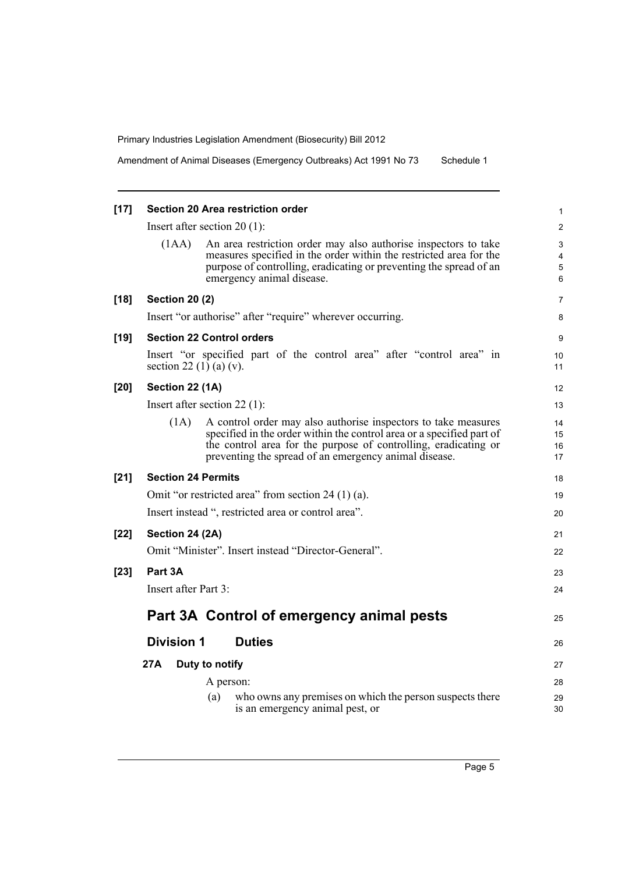Amendment of Animal Diseases (Emergency Outbreaks) Act 1991 No 73 Schedule 1

| $[17]$ |                           | <b>Section 20 Area restriction order</b>                                                                                                                                                                                                                            | 1                       |
|--------|---------------------------|---------------------------------------------------------------------------------------------------------------------------------------------------------------------------------------------------------------------------------------------------------------------|-------------------------|
|        |                           | Insert after section $20(1)$ :                                                                                                                                                                                                                                      | $\overline{\mathbf{c}}$ |
|        | (1AA)                     | An area restriction order may also authorise inspectors to take<br>measures specified in the order within the restricted area for the<br>purpose of controlling, eradicating or preventing the spread of an<br>emergency animal disease.                            | 3<br>4<br>5<br>6        |
| $[18]$ | <b>Section 20 (2)</b>     |                                                                                                                                                                                                                                                                     | 7                       |
|        |                           | Insert "or authorise" after "require" wherever occurring.                                                                                                                                                                                                           | 8                       |
| $[19]$ |                           | <b>Section 22 Control orders</b>                                                                                                                                                                                                                                    | 9                       |
|        | section 22 (1) (a) (v).   | Insert "or specified part of the control area" after "control area" in                                                                                                                                                                                              | 10<br>11                |
| [20]   | Section 22 (1A)           |                                                                                                                                                                                                                                                                     | 12                      |
|        |                           | Insert after section $22$ (1):                                                                                                                                                                                                                                      | 13                      |
|        | (1A)                      | A control order may also authorise inspectors to take measures<br>specified in the order within the control area or a specified part of<br>the control area for the purpose of controlling, eradicating or<br>preventing the spread of an emergency animal disease. | 14<br>15<br>16<br>17    |
| $[21]$ | <b>Section 24 Permits</b> |                                                                                                                                                                                                                                                                     | 18                      |
|        |                           | Omit "or restricted area" from section 24 (1) (a).                                                                                                                                                                                                                  | 19                      |
|        |                           | Insert instead ", restricted area or control area".                                                                                                                                                                                                                 | 20                      |
| $[22]$ | Section 24 (2A)           |                                                                                                                                                                                                                                                                     | 21                      |
|        |                           | Omit "Minister". Insert instead "Director-General".                                                                                                                                                                                                                 | 22                      |
| $[23]$ | Part 3A                   |                                                                                                                                                                                                                                                                     | 23                      |
|        | Insert after Part 3:      |                                                                                                                                                                                                                                                                     | 24                      |
|        |                           | Part 3A Control of emergency animal pests                                                                                                                                                                                                                           | 25                      |
|        | <b>Division 1</b>         | <b>Duties</b>                                                                                                                                                                                                                                                       | 26                      |
|        | 27A                       | Duty to notify                                                                                                                                                                                                                                                      | 27                      |
|        |                           | A person:                                                                                                                                                                                                                                                           | 28                      |
|        |                           | who owns any premises on which the person suspects there<br>(a)<br>is an emergency animal pest, or                                                                                                                                                                  | 29<br>30                |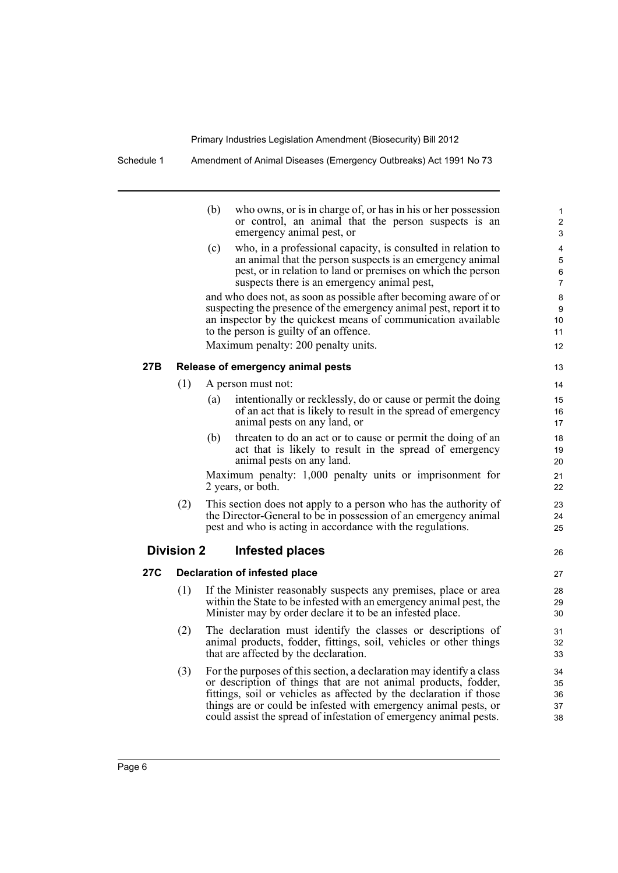| Schedule 1 | Amendment of Animal Diseases (Emergency Outbreaks) Act 1991 No 73 |
|------------|-------------------------------------------------------------------|
|            |                                                                   |

|     |                   | (b)<br>who owns, or is in charge of, or has in his or her possession<br>or control, an animal that the person suspects is an<br>emergency animal pest, or                                         | 1<br>$\overline{2}$<br>3 |
|-----|-------------------|---------------------------------------------------------------------------------------------------------------------------------------------------------------------------------------------------|--------------------------|
|     |                   | who, in a professional capacity, is consulted in relation to<br>(c)<br>an animal that the person suspects is an emergency animal<br>pest, or in relation to land or premises on which the person  | 4<br>5<br>6              |
|     |                   | suspects there is an emergency animal pest,                                                                                                                                                       | $\overline{7}$           |
|     |                   | and who does not, as soon as possible after becoming aware of or                                                                                                                                  | 8                        |
|     |                   | suspecting the presence of the emergency animal pest, report it to<br>an inspector by the quickest means of communication available                                                               | 9<br>10                  |
|     |                   | to the person is guilty of an offence.                                                                                                                                                            | 11                       |
|     |                   | Maximum penalty: 200 penalty units.                                                                                                                                                               | 12                       |
| 27B |                   | Release of emergency animal pests                                                                                                                                                                 | 13                       |
|     | (1)               | A person must not:                                                                                                                                                                                | 14                       |
|     |                   | intentionally or recklessly, do or cause or permit the doing<br>(a)                                                                                                                               | 15                       |
|     |                   | of an act that is likely to result in the spread of emergency                                                                                                                                     | 16                       |
|     |                   | animal pests on any land, or                                                                                                                                                                      | 17                       |
|     |                   | (b)<br>threaten to do an act or to cause or permit the doing of an                                                                                                                                | 18                       |
|     |                   | act that is likely to result in the spread of emergency<br>animal pests on any land.                                                                                                              | 19<br>20                 |
|     |                   | Maximum penalty: 1,000 penalty units or imprisonment for<br>2 years, or both.                                                                                                                     | 21<br>22                 |
|     | (2)               | This section does not apply to a person who has the authority of<br>the Director-General to be in possession of an emergency animal<br>pest and who is acting in accordance with the regulations. | 23<br>24<br>25           |
|     | <b>Division 2</b> | Infested places                                                                                                                                                                                   | 26                       |
| 27C |                   | <b>Declaration of infested place</b>                                                                                                                                                              | 27                       |
|     | (1)               | If the Minister reasonably suspects any premises, place or area                                                                                                                                   | 28                       |
|     |                   | within the State to be infested with an emergency animal pest, the                                                                                                                                | 29                       |
|     |                   | Minister may by order declare it to be an infested place.                                                                                                                                         | 30                       |
|     | (2)               | The declaration must identify the classes or descriptions of<br>animal products, fodder, fittings, soil, vehicles or other things<br>that are affected by the declaration.                        | 31<br>32<br>33           |
|     | (3)               | For the purposes of this section, a declaration may identify a class                                                                                                                              | 34                       |
|     |                   | or description of things that are not animal products, fodder,                                                                                                                                    | 35                       |
|     |                   | fittings, soil or vehicles as affected by the declaration if those                                                                                                                                | 36                       |
|     |                   | things are or could be infested with emergency animal pests, or<br>could assist the spread of infestation of emergency animal pests.                                                              | 37<br>38                 |
|     |                   |                                                                                                                                                                                                   |                          |
|     |                   |                                                                                                                                                                                                   |                          |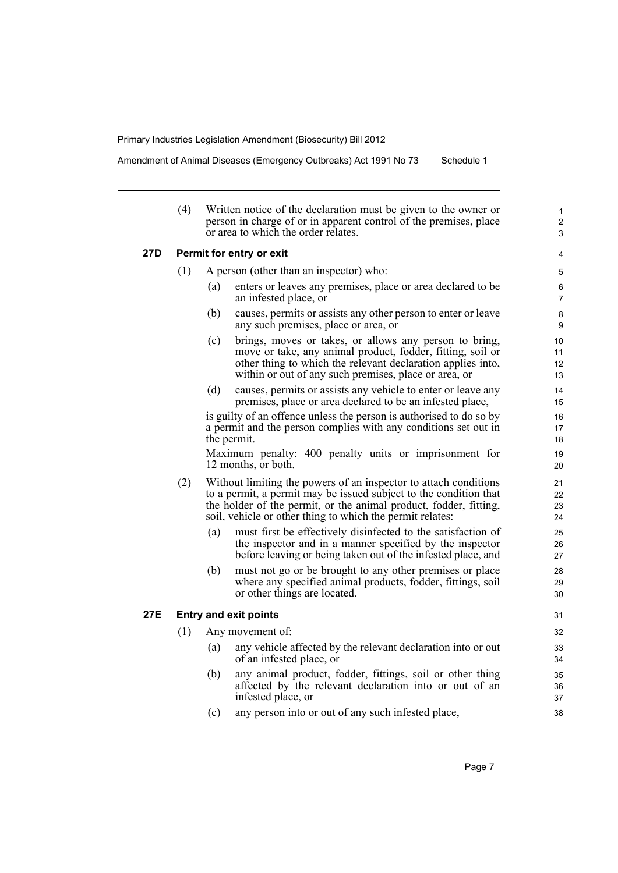Amendment of Animal Diseases (Emergency Outbreaks) Act 1991 No 73 Schedule 1

|     | (4) |                              | Written notice of the declaration must be given to the owner or<br>person in charge of or in apparent control of the premises, place<br>or area to which the order relates.                                                                                             | $\mathbf{1}$<br>$\overline{c}$<br>3 |
|-----|-----|------------------------------|-------------------------------------------------------------------------------------------------------------------------------------------------------------------------------------------------------------------------------------------------------------------------|-------------------------------------|
| 27D |     | Permit for entry or exit     |                                                                                                                                                                                                                                                                         | 4                                   |
|     | (1) |                              | A person (other than an inspector) who:                                                                                                                                                                                                                                 | 5                                   |
|     |     | (a)                          | enters or leaves any premises, place or area declared to be<br>an infested place, or                                                                                                                                                                                    | 6<br>$\overline{7}$                 |
|     |     | (b)                          | causes, permits or assists any other person to enter or leave<br>any such premises, place or area, or                                                                                                                                                                   | 8<br>9                              |
|     |     | (c)                          | brings, moves or takes, or allows any person to bring,<br>move or take, any animal product, fodder, fitting, soil or<br>other thing to which the relevant declaration applies into,<br>within or out of any such premises, place or area, or                            | 10<br>11<br>12<br>13                |
|     |     | (d)                          | causes, permits or assists any vehicle to enter or leave any<br>premises, place or area declared to be an infested place,                                                                                                                                               | 14<br>15                            |
|     |     | the permit.                  | is guilty of an offence unless the person is authorised to do so by<br>a permit and the person complies with any conditions set out in                                                                                                                                  | 16<br>17<br>18                      |
|     |     |                              | Maximum penalty: 400 penalty units or imprisonment for<br>12 months, or both.                                                                                                                                                                                           | 19<br>20                            |
|     | (2) |                              | Without limiting the powers of an inspector to attach conditions<br>to a permit, a permit may be issued subject to the condition that<br>the holder of the permit, or the animal product, fodder, fitting,<br>soil, vehicle or other thing to which the permit relates: | 21<br>22<br>23<br>24                |
|     |     | (a)                          | must first be effectively disinfected to the satisfaction of<br>the inspector and in a manner specified by the inspector<br>before leaving or being taken out of the infested place, and                                                                                | 25<br>26<br>27                      |
|     |     | (b)                          | must not go or be brought to any other premises or place<br>where any specified animal products, fodder, fittings, soil<br>or other things are located.                                                                                                                 | 28<br>29<br>30                      |
| 27E |     | <b>Entry and exit points</b> |                                                                                                                                                                                                                                                                         | 31                                  |
|     | (1) |                              | Any movement of:                                                                                                                                                                                                                                                        | 32                                  |
|     |     | $\left(a\right)$             | any vehicle affected by the relevant declaration into or out<br>of an infested place, or                                                                                                                                                                                | 33<br>34                            |
|     |     | (b)                          | any animal product, fodder, fittings, soil or other thing<br>affected by the relevant declaration into or out of an<br>infested place, or                                                                                                                               | 35<br>36<br>37                      |
|     |     | (c)                          | any person into or out of any such infested place,                                                                                                                                                                                                                      | 38                                  |
|     |     |                              |                                                                                                                                                                                                                                                                         |                                     |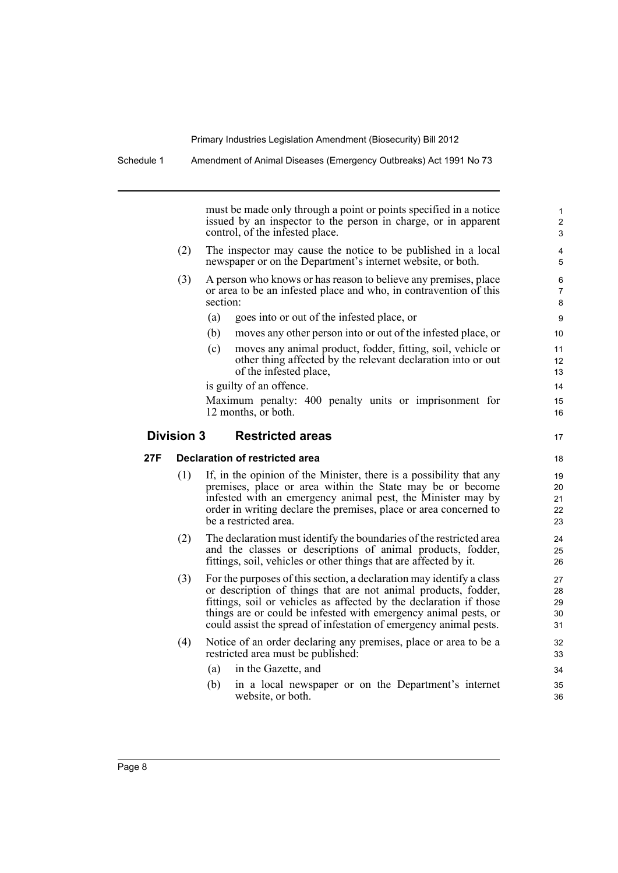must be made only through a point or points specified in a notice issued by an inspector to the person in charge, or in apparent control, of the infested place.

17

- (2) The inspector may cause the notice to be published in a local newspaper or on the Department's internet website, or both.
- (3) A person who knows or has reason to believe any premises, place or area to be an infested place and who, in contravention of this section:
	- (a) goes into or out of the infested place, or
	- (b) moves any other person into or out of the infested place, or
	- (c) moves any animal product, fodder, fitting, soil, vehicle or other thing affected by the relevant declaration into or out of the infested place,

is guilty of an offence.

Maximum penalty: 400 penalty units or imprisonment for 12 months, or both.

### **Division 3 Restricted areas**

**27F Declaration of restricted area**

- (1) If, in the opinion of the Minister, there is a possibility that any premises, place or area within the State may be or become infested with an emergency animal pest, the Minister may by order in writing declare the premises, place or area concerned to be a restricted area.
- (2) The declaration must identify the boundaries of the restricted area and the classes or descriptions of animal products, fodder, fittings, soil, vehicles or other things that are affected by it.
- (3) For the purposes of this section, a declaration may identify a class or description of things that are not animal products, fodder, fittings, soil or vehicles as affected by the declaration if those things are or could be infested with emergency animal pests, or could assist the spread of infestation of emergency animal pests.
- (4) Notice of an order declaring any premises, place or area to be a restricted area must be published:
	- (a) in the Gazette, and
	- (b) in a local newspaper or on the Department's internet website, or both.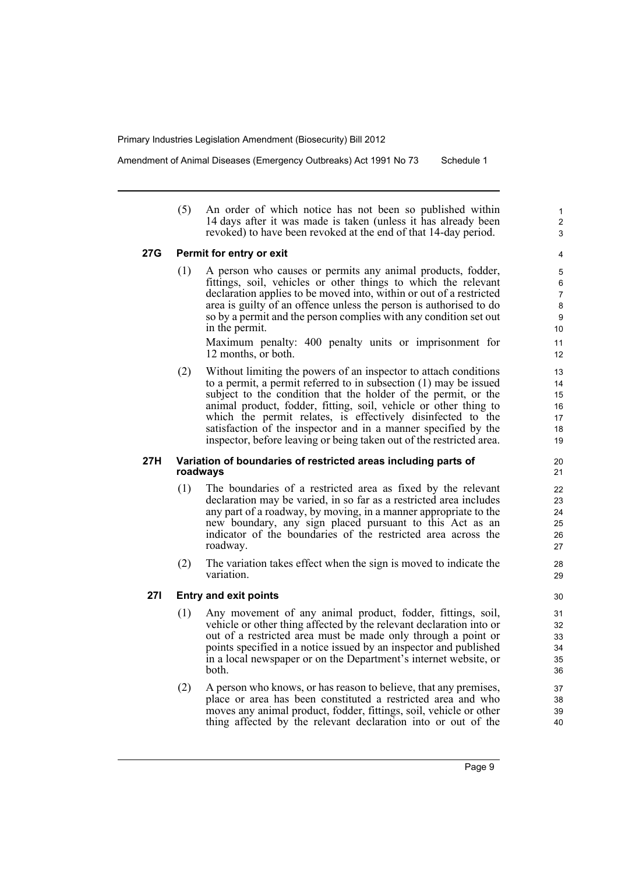Amendment of Animal Diseases (Emergency Outbreaks) Act 1991 No 73 Schedule 1

(5) An order of which notice has not been so published within 14 days after it was made is taken (unless it has already been revoked) to have been revoked at the end of that 14-day period.

#### **27G Permit for entry or exit**

(1) A person who causes or permits any animal products, fodder, fittings, soil, vehicles or other things to which the relevant declaration applies to be moved into, within or out of a restricted area is guilty of an offence unless the person is authorised to do so by a permit and the person complies with any condition set out in the permit.

Maximum penalty: 400 penalty units or imprisonment for 12 months, or both.

(2) Without limiting the powers of an inspector to attach conditions to a permit, a permit referred to in subsection (1) may be issued subject to the condition that the holder of the permit, or the animal product, fodder, fitting, soil, vehicle or other thing to which the permit relates, is effectively disinfected to the satisfaction of the inspector and in a manner specified by the inspector, before leaving or being taken out of the restricted area.

#### **27H Variation of boundaries of restricted areas including parts of roadways**

- (1) The boundaries of a restricted area as fixed by the relevant declaration may be varied, in so far as a restricted area includes any part of a roadway, by moving, in a manner appropriate to the new boundary, any sign placed pursuant to this Act as an indicator of the boundaries of the restricted area across the roadway.
- (2) The variation takes effect when the sign is moved to indicate the variation.

#### **27I Entry and exit points**

- (1) Any movement of any animal product, fodder, fittings, soil, vehicle or other thing affected by the relevant declaration into or out of a restricted area must be made only through a point or points specified in a notice issued by an inspector and published in a local newspaper or on the Department's internet website, or both.
- (2) A person who knows, or has reason to believe, that any premises, place or area has been constituted a restricted area and who moves any animal product, fodder, fittings, soil, vehicle or other thing affected by the relevant declaration into or out of the

1 2 3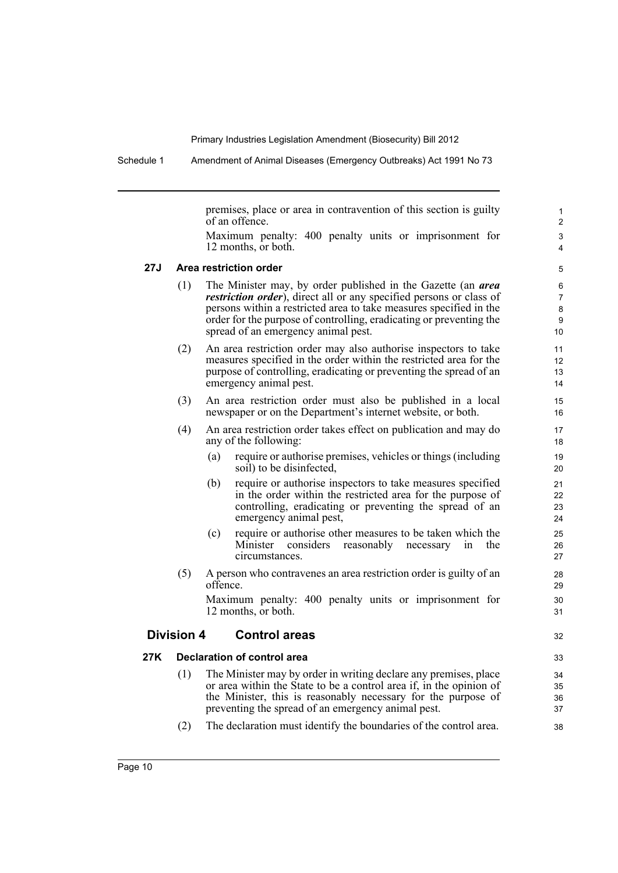Schedule 1 Amendment of Animal Diseases (Emergency Outbreaks) Act 1991 No 73

premises, place or area in contravention of this section is guilty of an offence.

32

Maximum penalty: 400 penalty units or imprisonment for 12 months, or both.

#### **27J Area restriction order**

- (1) The Minister may, by order published in the Gazette (an *area restriction order*), direct all or any specified persons or class of persons within a restricted area to take measures specified in the order for the purpose of controlling, eradicating or preventing the spread of an emergency animal pest.
- (2) An area restriction order may also authorise inspectors to take measures specified in the order within the restricted area for the purpose of controlling, eradicating or preventing the spread of an emergency animal pest.
- (3) An area restriction order must also be published in a local newspaper or on the Department's internet website, or both.
- (4) An area restriction order takes effect on publication and may do any of the following:
	- (a) require or authorise premises, vehicles or things (including soil) to be disinfected,
	- (b) require or authorise inspectors to take measures specified in the order within the restricted area for the purpose of controlling, eradicating or preventing the spread of an emergency animal pest,
	- (c) require or authorise other measures to be taken which the Minister considers reasonably necessary in the circumstances.
- (5) A person who contravenes an area restriction order is guilty of an offence.

Maximum penalty: 400 penalty units or imprisonment for 12 months, or both.

## **Division 4 Control areas**

#### **27K Declaration of control area**

- (1) The Minister may by order in writing declare any premises, place or area within the State to be a control area if, in the opinion of the Minister, this is reasonably necessary for the purpose of preventing the spread of an emergency animal pest.
- (2) The declaration must identify the boundaries of the control area.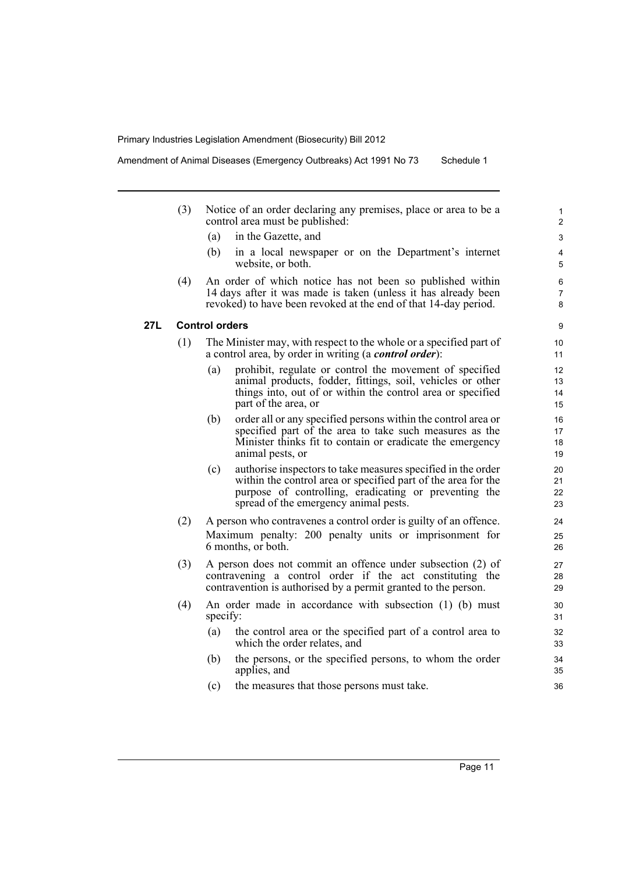Amendment of Animal Diseases (Emergency Outbreaks) Act 1991 No 73 Schedule 1

- (3) Notice of an order declaring any premises, place or area to be a control area must be published:
	- (a) in the Gazette, and
	- (b) in a local newspaper or on the Department's internet website, or both.
- (4) An order of which notice has not been so published within 14 days after it was made is taken (unless it has already been revoked) to have been revoked at the end of that 14-day period.

### **27L Control orders**

- (1) The Minister may, with respect to the whole or a specified part of a control area, by order in writing (a *control order*):
	- (a) prohibit, regulate or control the movement of specified animal products, fodder, fittings, soil, vehicles or other things into, out of or within the control area or specified part of the area, or
	- (b) order all or any specified persons within the control area or specified part of the area to take such measures as the Minister thinks fit to contain or eradicate the emergency animal pests, or
	- (c) authorise inspectors to take measures specified in the order within the control area or specified part of the area for the purpose of controlling, eradicating or preventing the spread of the emergency animal pests.
- (2) A person who contravenes a control order is guilty of an offence. Maximum penalty: 200 penalty units or imprisonment for 6 months, or both.
- (3) A person does not commit an offence under subsection (2) of contravening a control order if the act constituting the contravention is authorised by a permit granted to the person.
- (4) An order made in accordance with subsection (1) (b) must specify:
	- (a) the control area or the specified part of a control area to which the order relates, and
	- (b) the persons, or the specified persons, to whom the order applies, and
	- (c) the measures that those persons must take.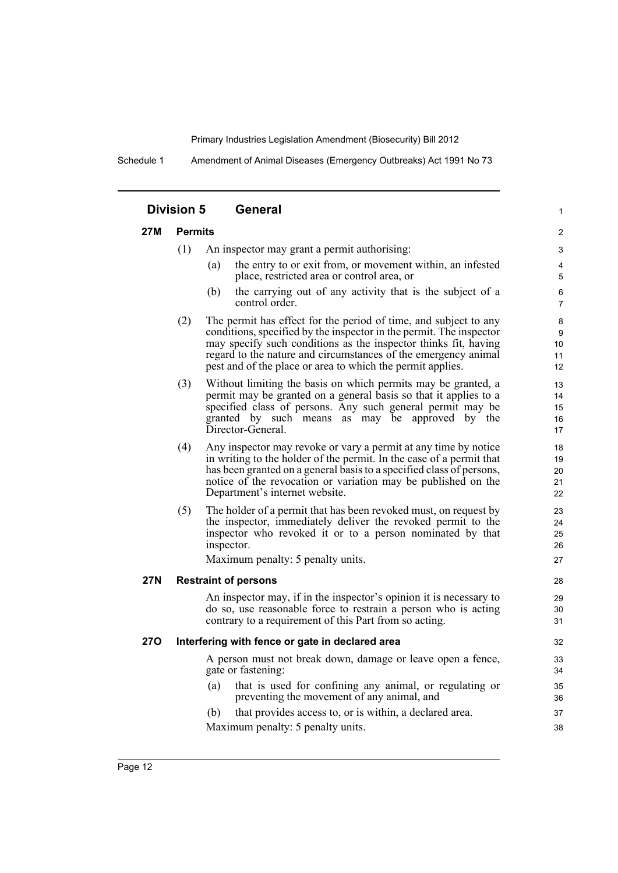Schedule 1 Amendment of Animal Diseases (Emergency Outbreaks) Act 1991 No 73

|     | <b>Division 5</b> | <b>General</b>                                                                                                                                                                                                                                                                                                                             | $\mathbf{1}$               |
|-----|-------------------|--------------------------------------------------------------------------------------------------------------------------------------------------------------------------------------------------------------------------------------------------------------------------------------------------------------------------------------------|----------------------------|
| 27M | <b>Permits</b>    |                                                                                                                                                                                                                                                                                                                                            | 2                          |
|     | (1)               | An inspector may grant a permit authorising:                                                                                                                                                                                                                                                                                               | 3                          |
|     |                   | the entry to or exit from, or movement within, an infested<br>(a)<br>place, restricted area or control area, or                                                                                                                                                                                                                            | 4<br>$\mathbf 5$           |
|     |                   | the carrying out of any activity that is the subject of a<br>(b)<br>control order.                                                                                                                                                                                                                                                         | 6<br>$\overline{7}$        |
|     | (2)               | The permit has effect for the period of time, and subject to any<br>conditions, specified by the inspector in the permit. The inspector<br>may specify such conditions as the inspector thinks fit, having<br>regard to the nature and circumstances of the emergency animal<br>pest and of the place or area to which the permit applies. | 8<br>9<br>10<br>11<br>12   |
|     | (3)               | Without limiting the basis on which permits may be granted, a<br>permit may be granted on a general basis so that it applies to a<br>specified class of persons. Any such general permit may be<br>granted by such means as may be approved by the<br>Director-General.                                                                    | 13<br>14<br>15<br>16<br>17 |
|     | (4)               | Any inspector may revoke or vary a permit at any time by notice<br>in writing to the holder of the permit. In the case of a permit that<br>has been granted on a general basis to a specified class of persons,<br>notice of the revocation or variation may be published on the<br>Department's internet website.                         | 18<br>19<br>20<br>21<br>22 |
|     | (5)               | The holder of a permit that has been revoked must, on request by<br>the inspector, immediately deliver the revoked permit to the<br>inspector who revoked it or to a person nominated by that<br>inspector.                                                                                                                                | 23<br>24<br>25<br>26       |
|     |                   | Maximum penalty: 5 penalty units.                                                                                                                                                                                                                                                                                                          | 27                         |
| 27N |                   | <b>Restraint of persons</b>                                                                                                                                                                                                                                                                                                                | 28                         |
|     |                   | An inspector may, if in the inspector's opinion it is necessary to<br>do so, use reasonable force to restrain a person who is acting<br>contrary to a requirement of this Part from so acting.                                                                                                                                             | 29<br>30<br>31             |
| 27O |                   | Interfering with fence or gate in declared area                                                                                                                                                                                                                                                                                            | 32                         |
|     |                   | A person must not break down, damage or leave open a fence,<br>gate or fastening:                                                                                                                                                                                                                                                          | 33<br>34                   |
|     |                   | (a)<br>that is used for confining any animal, or regulating or<br>preventing the movement of any animal, and                                                                                                                                                                                                                               | 35<br>36                   |
|     |                   | that provides access to, or is within, a declared area.<br>(b)                                                                                                                                                                                                                                                                             | 37                         |
|     |                   | Maximum penalty: 5 penalty units.                                                                                                                                                                                                                                                                                                          | 38                         |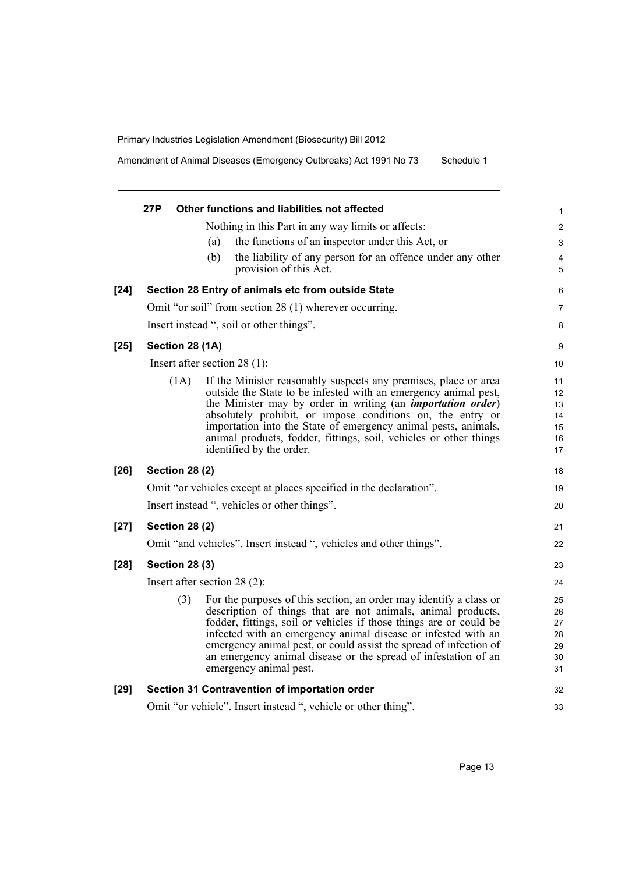Amendment of Animal Diseases (Emergency Outbreaks) Act 1991 No 73 Schedule 1

|        | 27P |                       |     | Other functions and liabilities not affected                                                                                           | 1                       |
|--------|-----|-----------------------|-----|----------------------------------------------------------------------------------------------------------------------------------------|-------------------------|
|        |     |                       |     | Nothing in this Part in any way limits or affects:                                                                                     | $\overline{\mathbf{c}}$ |
|        |     |                       | (a) | the functions of an inspector under this Act, or                                                                                       | 3                       |
|        |     |                       | (b) | the liability of any person for an offence under any other                                                                             | 4                       |
|        |     |                       |     | provision of this Act.                                                                                                                 | 5                       |
| $[24]$ |     |                       |     | Section 28 Entry of animals etc from outside State                                                                                     | 6                       |
|        |     |                       |     | Omit "or soil" from section 28 (1) wherever occurring.                                                                                 | 7                       |
|        |     |                       |     | Insert instead ", soil or other things".                                                                                               | 8                       |
| $[25]$ |     | Section 28 (1A)       |     |                                                                                                                                        | 9                       |
|        |     |                       |     | Insert after section $28(1)$ :                                                                                                         | 10                      |
|        |     | (1A)                  |     | If the Minister reasonably suspects any premises, place or area                                                                        | 11                      |
|        |     |                       |     | outside the State to be infested with an emergency animal pest,<br>the Minister may by order in writing (an <i>importation order</i> ) | 12<br>13                |
|        |     |                       |     | absolutely prohibit, or impose conditions on, the entry or                                                                             | 14                      |
|        |     |                       |     | importation into the State of emergency animal pests, animals,                                                                         | 15                      |
|        |     |                       |     | animal products, fodder, fittings, soil, vehicles or other things                                                                      | 16                      |
|        |     |                       |     | identified by the order.                                                                                                               | 17                      |
| $[26]$ |     | <b>Section 28 (2)</b> |     |                                                                                                                                        | 18                      |
|        |     |                       |     | Omit "or vehicles except at places specified in the declaration".                                                                      | 19                      |
|        |     |                       |     | Insert instead ", vehicles or other things".                                                                                           | 20                      |
| $[27]$ |     | <b>Section 28 (2)</b> |     |                                                                                                                                        | 21                      |
|        |     |                       |     | Omit "and vehicles". Insert instead ", vehicles and other things".                                                                     | 22                      |
| $[28]$ |     | <b>Section 28 (3)</b> |     |                                                                                                                                        | 23                      |
|        |     |                       |     | Insert after section $28(2)$ :                                                                                                         | 24                      |
|        |     | (3)                   |     | For the purposes of this section, an order may identify a class or                                                                     | 25                      |
|        |     |                       |     | description of things that are not animals, animal products,                                                                           | 26                      |
|        |     |                       |     | fodder, fittings, soil or vehicles if those things are or could be                                                                     | 27                      |
|        |     |                       |     | infected with an emergency animal disease or infested with an<br>emergency animal pest, or could assist the spread of infection of     | 28<br>29                |
|        |     |                       |     | an emergency animal disease or the spread of infestation of an                                                                         | 30                      |
|        |     |                       |     | emergency animal pest.                                                                                                                 | 31                      |
| $[29]$ |     |                       |     | Section 31 Contravention of importation order                                                                                          | 32                      |
|        |     |                       |     | Omit "or vehicle". Insert instead ", vehicle or other thing".                                                                          | 33                      |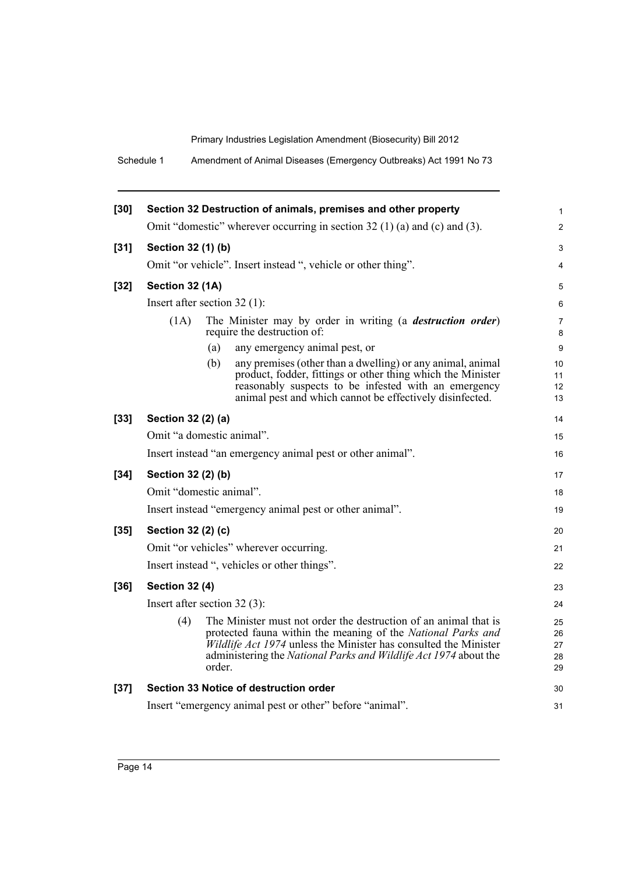Schedule 1 Amendment of Animal Diseases (Emergency Outbreaks) Act 1991 No 73

| $[30]$ |                         | Section 32 Destruction of animals, premises and other property                                                                                                                                                                                                                     | 1                          |
|--------|-------------------------|------------------------------------------------------------------------------------------------------------------------------------------------------------------------------------------------------------------------------------------------------------------------------------|----------------------------|
|        |                         | Omit "domestic" wherever occurring in section 32 (1) (a) and (c) and (3).                                                                                                                                                                                                          | $\overline{2}$             |
| $[31]$ | Section 32 (1) (b)      |                                                                                                                                                                                                                                                                                    | 3                          |
|        |                         | Omit "or vehicle". Insert instead ", vehicle or other thing".                                                                                                                                                                                                                      | 4                          |
| $[32]$ | Section 32 (1A)         |                                                                                                                                                                                                                                                                                    | 5                          |
|        |                         | Insert after section $32(1)$ :                                                                                                                                                                                                                                                     | 6                          |
|        | (1A)                    | The Minister may by order in writing (a <i>destruction order</i> )<br>require the destruction of:                                                                                                                                                                                  | 7<br>8                     |
|        |                         | (a)<br>any emergency animal pest, or                                                                                                                                                                                                                                               | 9                          |
|        |                         | (b)<br>any premises (other than a dwelling) or any animal, animal<br>product, fodder, fittings or other thing which the Minister<br>reasonably suspects to be infested with an emergency<br>animal pest and which cannot be effectively disinfected.                               | 10<br>11<br>12<br>13       |
| $[33]$ | Section 32 (2) (a)      |                                                                                                                                                                                                                                                                                    | 14                         |
|        |                         | Omit "a domestic animal".                                                                                                                                                                                                                                                          | 15                         |
|        |                         | Insert instead "an emergency animal pest or other animal".                                                                                                                                                                                                                         | 16                         |
| $[34]$ | Section 32 (2) (b)      |                                                                                                                                                                                                                                                                                    | 17                         |
|        | Omit "domestic animal". |                                                                                                                                                                                                                                                                                    | 18                         |
|        |                         | Insert instead "emergency animal pest or other animal".                                                                                                                                                                                                                            | 19                         |
| $[35]$ | Section 32 (2) (c)      |                                                                                                                                                                                                                                                                                    | 20                         |
|        |                         | Omit "or vehicles" wherever occurring.                                                                                                                                                                                                                                             | 21                         |
|        |                         | Insert instead ", vehicles or other things".                                                                                                                                                                                                                                       | 22                         |
| $[36]$ | <b>Section 32 (4)</b>   |                                                                                                                                                                                                                                                                                    | 23                         |
|        |                         | Insert after section $32(3)$ :                                                                                                                                                                                                                                                     | 24                         |
|        | (4)                     | The Minister must not order the destruction of an animal that is<br>protected fauna within the meaning of the National Parks and<br>Wildlife Act 1974 unless the Minister has consulted the Minister<br>administering the National Parks and Wildlife Act 1974 about the<br>order. | 25<br>26<br>27<br>28<br>29 |
| $[37]$ |                         | Section 33 Notice of destruction order                                                                                                                                                                                                                                             | 30                         |
|        |                         | Insert "emergency animal pest or other" before "animal".                                                                                                                                                                                                                           | 31                         |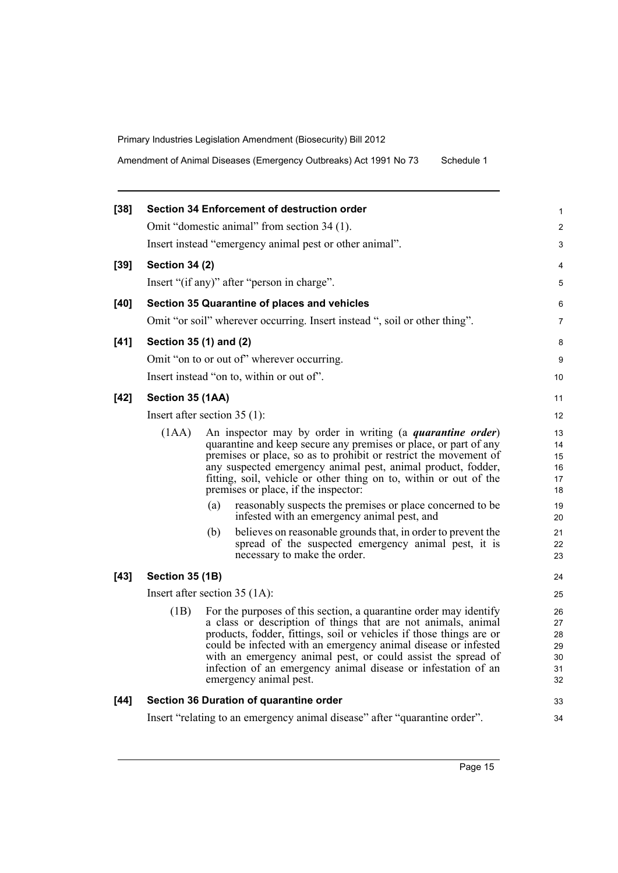Amendment of Animal Diseases (Emergency Outbreaks) Act 1991 No 73 Schedule 1

| $[38]$ |                                | <b>Section 34 Enforcement of destruction order</b> |                                                                                                                                                                                                                                                                                                                                                                                                                                                                                                                                                                                                                    |                                                                |  |
|--------|--------------------------------|----------------------------------------------------|--------------------------------------------------------------------------------------------------------------------------------------------------------------------------------------------------------------------------------------------------------------------------------------------------------------------------------------------------------------------------------------------------------------------------------------------------------------------------------------------------------------------------------------------------------------------------------------------------------------------|----------------------------------------------------------------|--|
|        |                                | Omit "domestic animal" from section 34 (1).        |                                                                                                                                                                                                                                                                                                                                                                                                                                                                                                                                                                                                                    |                                                                |  |
|        |                                |                                                    | Insert instead "emergency animal pest or other animal".                                                                                                                                                                                                                                                                                                                                                                                                                                                                                                                                                            |                                                                |  |
| $[39]$ | <b>Section 34 (2)</b>          |                                                    |                                                                                                                                                                                                                                                                                                                                                                                                                                                                                                                                                                                                                    |                                                                |  |
|        |                                | Insert "(if any)" after "person in charge".        |                                                                                                                                                                                                                                                                                                                                                                                                                                                                                                                                                                                                                    |                                                                |  |
| $[40]$ |                                | Section 35 Quarantine of places and vehicles       |                                                                                                                                                                                                                                                                                                                                                                                                                                                                                                                                                                                                                    |                                                                |  |
|        |                                |                                                    | Omit "or soil" wherever occurring. Insert instead ", soil or other thing".                                                                                                                                                                                                                                                                                                                                                                                                                                                                                                                                         |                                                                |  |
| $[41]$ | Section 35 (1) and (2)         |                                                    |                                                                                                                                                                                                                                                                                                                                                                                                                                                                                                                                                                                                                    |                                                                |  |
|        |                                | Omit "on to or out of" wherever occurring.         |                                                                                                                                                                                                                                                                                                                                                                                                                                                                                                                                                                                                                    |                                                                |  |
|        |                                | Insert instead "on to, within or out of".          |                                                                                                                                                                                                                                                                                                                                                                                                                                                                                                                                                                                                                    | 10                                                             |  |
| $[42]$ | Section 35 (1AA)               |                                                    |                                                                                                                                                                                                                                                                                                                                                                                                                                                                                                                                                                                                                    | 11                                                             |  |
|        | Insert after section $35(1)$ : |                                                    |                                                                                                                                                                                                                                                                                                                                                                                                                                                                                                                                                                                                                    |                                                                |  |
|        | (1AA)                          | premises or place, if the inspector:<br>(a)<br>(b) | An inspector may by order in writing (a <i>quarantine order</i> )<br>quarantine and keep secure any premises or place, or part of any<br>premises or place, so as to prohibit or restrict the movement of<br>any suspected emergency animal pest, animal product, fodder,<br>fitting, soil, vehicle or other thing on to, within or out of the<br>reasonably suspects the premises or place concerned to be<br>infested with an emergency animal pest, and<br>believes on reasonable grounds that, in order to prevent the<br>spread of the suspected emergency animal pest, it is<br>necessary to make the order. | 13<br>14<br>15<br>16<br>17<br>18<br>19<br>20<br>21<br>22<br>23 |  |
| $[43]$ | <b>Section 35 (1B)</b>         |                                                    |                                                                                                                                                                                                                                                                                                                                                                                                                                                                                                                                                                                                                    | 24                                                             |  |
|        |                                | Insert after section $35 (1A)$ :                   |                                                                                                                                                                                                                                                                                                                                                                                                                                                                                                                                                                                                                    | 25                                                             |  |
|        | (1B)                           | emergency animal pest.                             | For the purposes of this section, a quarantine order may identify<br>a class or description of things that are not animals, animal<br>products, fodder, fittings, soil or vehicles if those things are or<br>could be infected with an emergency animal disease or infested<br>with an emergency animal pest, or could assist the spread of<br>infection of an emergency animal disease or infestation of an                                                                                                                                                                                                       | 26<br>27<br>28<br>29<br>30<br>31<br>32                         |  |
| $[44]$ |                                | Section 36 Duration of quarantine order            |                                                                                                                                                                                                                                                                                                                                                                                                                                                                                                                                                                                                                    | 33                                                             |  |
|        |                                |                                                    | Insert "relating to an emergency animal disease" after "quarantine order".                                                                                                                                                                                                                                                                                                                                                                                                                                                                                                                                         | 34                                                             |  |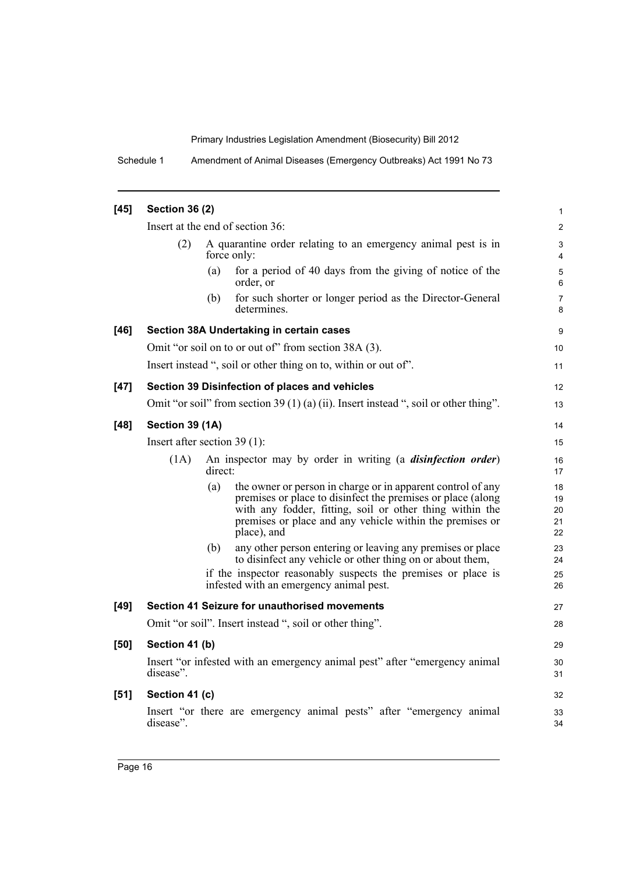Schedule 1 Amendment of Animal Diseases (Emergency Outbreaks) Act 1991 No 73

| $[45]$ | <b>Section 36 (2)</b>          |                                                                                                                                                                                                                                                                          |                            |  |  |
|--------|--------------------------------|--------------------------------------------------------------------------------------------------------------------------------------------------------------------------------------------------------------------------------------------------------------------------|----------------------------|--|--|
|        |                                | Insert at the end of section 36:                                                                                                                                                                                                                                         | $\overline{c}$             |  |  |
|        | (2)                            | A quarantine order relating to an emergency animal pest is in<br>force only:                                                                                                                                                                                             | 3<br>4                     |  |  |
|        |                                | for a period of 40 days from the giving of notice of the<br>(a)<br>order, or                                                                                                                                                                                             | 5<br>6                     |  |  |
|        |                                | (b)<br>for such shorter or longer period as the Director-General<br>determines.                                                                                                                                                                                          | $\overline{7}$<br>8        |  |  |
| [46]   |                                | Section 38A Undertaking in certain cases                                                                                                                                                                                                                                 | 9                          |  |  |
|        |                                | Omit "or soil on to or out of" from section 38A (3).                                                                                                                                                                                                                     | 10                         |  |  |
|        |                                | Insert instead ", soil or other thing on to, within or out of".                                                                                                                                                                                                          | 11                         |  |  |
| $[47]$ |                                | Section 39 Disinfection of places and vehicles                                                                                                                                                                                                                           | 12                         |  |  |
|        |                                | Omit "or soil" from section 39 (1) (a) (ii). Insert instead ", soil or other thing".                                                                                                                                                                                     | 13                         |  |  |
| $[48]$ | Section 39 (1A)                |                                                                                                                                                                                                                                                                          | 14                         |  |  |
|        | Insert after section $39(1)$ : |                                                                                                                                                                                                                                                                          |                            |  |  |
|        | (1A)                           | An inspector may by order in writing (a <i>disinfection order</i> )<br>direct:                                                                                                                                                                                           | 16<br>17                   |  |  |
|        |                                | (a)<br>the owner or person in charge or in apparent control of any<br>premises or place to disinfect the premises or place (along<br>with any fodder, fitting, soil or other thing within the<br>premises or place and any vehicle within the premises or<br>place), and | 18<br>19<br>20<br>21<br>22 |  |  |
|        |                                | (b)<br>any other person entering or leaving any premises or place<br>to disinfect any vehicle or other thing on or about them,                                                                                                                                           | 23<br>24                   |  |  |
|        |                                | if the inspector reasonably suspects the premises or place is<br>infested with an emergency animal pest.                                                                                                                                                                 | 25<br>26                   |  |  |
| $[49]$ |                                | Section 41 Seizure for unauthorised movements                                                                                                                                                                                                                            | 27                         |  |  |
|        |                                | Omit "or soil". Insert instead ", soil or other thing".                                                                                                                                                                                                                  | 28                         |  |  |
| [50]   | Section 41 (b)                 |                                                                                                                                                                                                                                                                          | 29                         |  |  |
|        | disease".                      | Insert "or infested with an emergency animal pest" after "emergency animal                                                                                                                                                                                               | 30<br>31                   |  |  |
| [51]   | Section 41 (c)                 |                                                                                                                                                                                                                                                                          | 32                         |  |  |
|        | disease".                      | Insert "or there are emergency animal pests" after "emergency animal                                                                                                                                                                                                     | 33<br>34                   |  |  |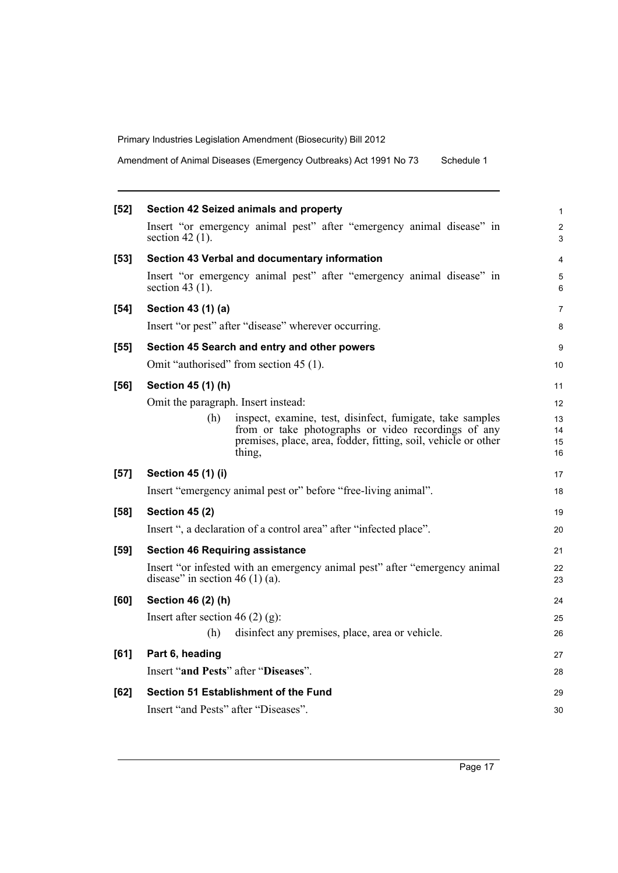Amendment of Animal Diseases (Emergency Outbreaks) Act 1991 No 73 Schedule 1

| $[52]$ | Section 42 Seized animals and property                                                                                                                                                              | 1                            |
|--------|-----------------------------------------------------------------------------------------------------------------------------------------------------------------------------------------------------|------------------------------|
|        | Insert "or emergency animal pest" after "emergency animal disease" in<br>section 42 $(1)$ .                                                                                                         | $\overline{\mathbf{c}}$<br>3 |
| $[53]$ | Section 43 Verbal and documentary information                                                                                                                                                       | 4                            |
|        | Insert "or emergency animal pest" after "emergency animal disease" in<br>section 43 $(1)$ .                                                                                                         | 5<br>6                       |
| $[54]$ | Section 43 (1) (a)                                                                                                                                                                                  | 7                            |
|        | Insert "or pest" after "disease" wherever occurring.                                                                                                                                                | 8                            |
| $[55]$ | Section 45 Search and entry and other powers                                                                                                                                                        | 9                            |
|        | Omit "authorised" from section 45 (1).                                                                                                                                                              | 10                           |
| [56]   | Section 45 (1) (h)                                                                                                                                                                                  | 11                           |
|        | Omit the paragraph. Insert instead:                                                                                                                                                                 | 12                           |
|        | (h)<br>inspect, examine, test, disinfect, fumigate, take samples<br>from or take photographs or video recordings of any<br>premises, place, area, fodder, fitting, soil, vehicle or other<br>thing, | 13<br>14<br>15<br>16         |
| $[57]$ | <b>Section 45 (1) (i)</b>                                                                                                                                                                           | 17                           |
|        | Insert "emergency animal pest or" before "free-living animal".                                                                                                                                      | 18                           |
| [58]   | <b>Section 45 (2)</b>                                                                                                                                                                               | 19                           |
|        | Insert ", a declaration of a control area" after "infected place".                                                                                                                                  | 20                           |
| [59]   | <b>Section 46 Requiring assistance</b>                                                                                                                                                              | 21                           |
|        | Insert "or infested with an emergency animal pest" after "emergency animal<br>disease" in section 46 (1) (a).                                                                                       | 22<br>23                     |
| [60]   | Section 46 (2) (h)                                                                                                                                                                                  | 24                           |
|        | Insert after section 46 (2) (g):                                                                                                                                                                    | 25                           |
|        | disinfect any premises, place, area or vehicle.<br>(h)                                                                                                                                              | 26                           |
| [61]   | Part 6, heading                                                                                                                                                                                     | 27                           |
|        | Insert "and Pests" after "Diseases".                                                                                                                                                                | 28                           |
| [62]   | Section 51 Establishment of the Fund                                                                                                                                                                | 29                           |
|        | Insert "and Pests" after "Diseases".                                                                                                                                                                | 30                           |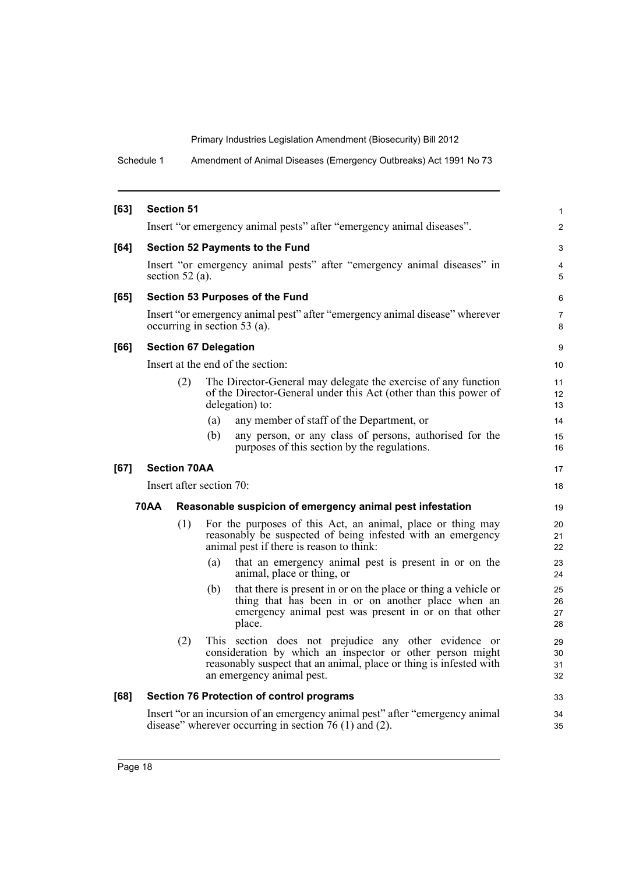Schedule 1 Amendment of Animal Diseases (Emergency Outbreaks) Act 1991 No 73

| $[63]$ | <b>Section 51</b>                                                                                                                          |     |                                                                                                                                                                                                                       | 1                             |
|--------|--------------------------------------------------------------------------------------------------------------------------------------------|-----|-----------------------------------------------------------------------------------------------------------------------------------------------------------------------------------------------------------------------|-------------------------------|
|        |                                                                                                                                            |     | Insert "or emergency animal pests" after "emergency animal diseases".                                                                                                                                                 | $\overline{2}$                |
| [64]   |                                                                                                                                            |     | Section 52 Payments to the Fund                                                                                                                                                                                       | 3                             |
|        | section 52 (a).                                                                                                                            |     | Insert "or emergency animal pests" after "emergency animal diseases" in                                                                                                                                               | 4<br>5                        |
| $[65]$ |                                                                                                                                            |     | <b>Section 53 Purposes of the Fund</b>                                                                                                                                                                                | 6                             |
|        |                                                                                                                                            |     | Insert "or emergency animal pest" after "emergency animal disease" wherever<br>occurring in section 53 (a).                                                                                                           | $\overline{7}$<br>8           |
| [66]   | <b>Section 67 Delegation</b>                                                                                                               |     |                                                                                                                                                                                                                       | 9                             |
|        |                                                                                                                                            |     | Insert at the end of the section:                                                                                                                                                                                     | 10                            |
|        | (2)                                                                                                                                        |     | The Director-General may delegate the exercise of any function<br>of the Director-General under this Act (other than this power of<br>delegation) to:                                                                 | 11<br>$12 \overline{ }$<br>13 |
|        |                                                                                                                                            | (a) | any member of staff of the Department, or                                                                                                                                                                             | 14                            |
|        |                                                                                                                                            | (b) | any person, or any class of persons, authorised for the<br>purposes of this section by the regulations.                                                                                                               | 15<br>16                      |
| [67]   | <b>Section 70AA</b>                                                                                                                        |     |                                                                                                                                                                                                                       | 17                            |
|        | Insert after section 70:                                                                                                                   |     |                                                                                                                                                                                                                       | 18                            |
|        | 70AA                                                                                                                                       |     | Reasonable suspicion of emergency animal pest infestation                                                                                                                                                             | 19                            |
|        | (1)                                                                                                                                        |     | For the purposes of this Act, an animal, place or thing may<br>reasonably be suspected of being infested with an emergency<br>animal pest if there is reason to think:                                                | 20<br>21<br>22                |
|        |                                                                                                                                            | (a) | that an emergency animal pest is present in or on the<br>animal, place or thing, or                                                                                                                                   | 23<br>24                      |
|        |                                                                                                                                            | (b) | that there is present in or on the place or thing a vehicle or<br>thing that has been in or on another place when an<br>emergency animal pest was present in or on that other<br>place.                               | 25<br>26<br>27<br>28          |
|        | (2)                                                                                                                                        |     | This section does not prejudice any other evidence or<br>consideration by which an inspector or other person might<br>reasonably suspect that an animal, place or thing is infested with<br>an emergency animal pest. | 29<br>30<br>31<br>32          |
| [68]   |                                                                                                                                            |     | Section 76 Protection of control programs                                                                                                                                                                             | 33                            |
|        | Insert "or an incursion of an emergency animal pest" after "emergency animal<br>disease" wherever occurring in section $76(1)$ and $(2)$ . |     |                                                                                                                                                                                                                       |                               |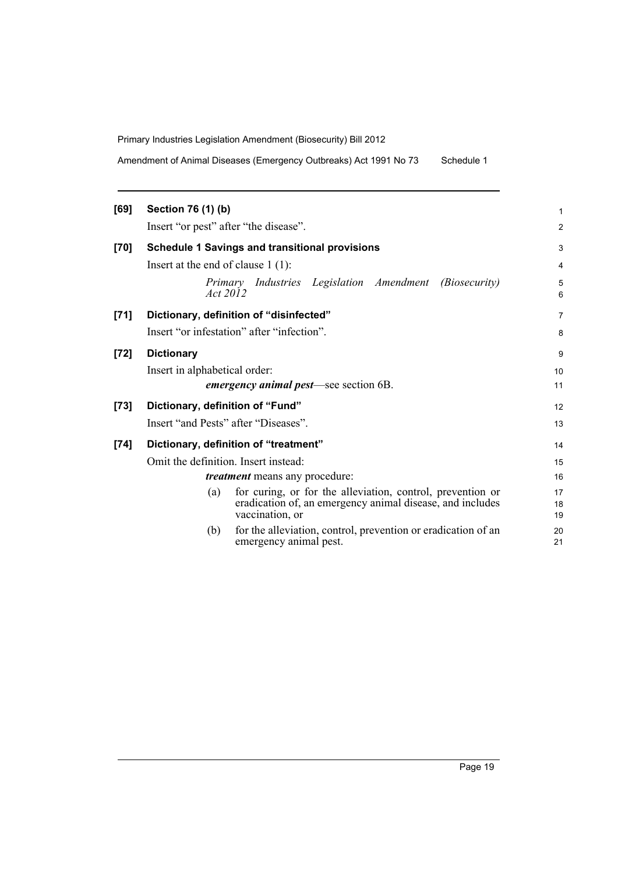Amendment of Animal Diseases (Emergency Outbreaks) Act 1991 No 73 Schedule 1

| [69]   | Section 76 (1) (b)                                                                                                                                | 1              |
|--------|---------------------------------------------------------------------------------------------------------------------------------------------------|----------------|
|        | Insert "or pest" after "the disease".                                                                                                             | 2              |
| [70]   | <b>Schedule 1 Savings and transitional provisions</b>                                                                                             | 3              |
|        | Insert at the end of clause $1(1)$ :                                                                                                              | 4              |
|        | Primary Industries Legislation Amendment (Biosecurity)<br>Act 2012                                                                                | 5<br>6         |
| [71]   | Dictionary, definition of "disinfected"                                                                                                           | $\overline{7}$ |
|        | Insert "or infestation" after "infection".                                                                                                        | 8              |
| $[72]$ | <b>Dictionary</b>                                                                                                                                 | 9              |
|        | Insert in alphabetical order:                                                                                                                     | 10             |
|        | <i>emergency animal pest—see section 6B.</i>                                                                                                      | 11             |
| $[73]$ | Dictionary, definition of "Fund"                                                                                                                  | 12             |
|        | Insert "and Pests" after "Diseases".                                                                                                              | 13             |
| $[74]$ | Dictionary, definition of "treatment"                                                                                                             | 14             |
|        | Omit the definition. Insert instead:                                                                                                              | 15             |
|        | <i>treatment</i> means any procedure:                                                                                                             | 16             |
|        | for curing, or for the alleviation, control, prevention or<br>(a)<br>eradication of, an emergency animal disease, and includes<br>vaccination, or | 17<br>18<br>19 |
|        | for the alleviation, control, prevention or eradication of an<br>(b)<br>emergency animal pest.                                                    | 20<br>21       |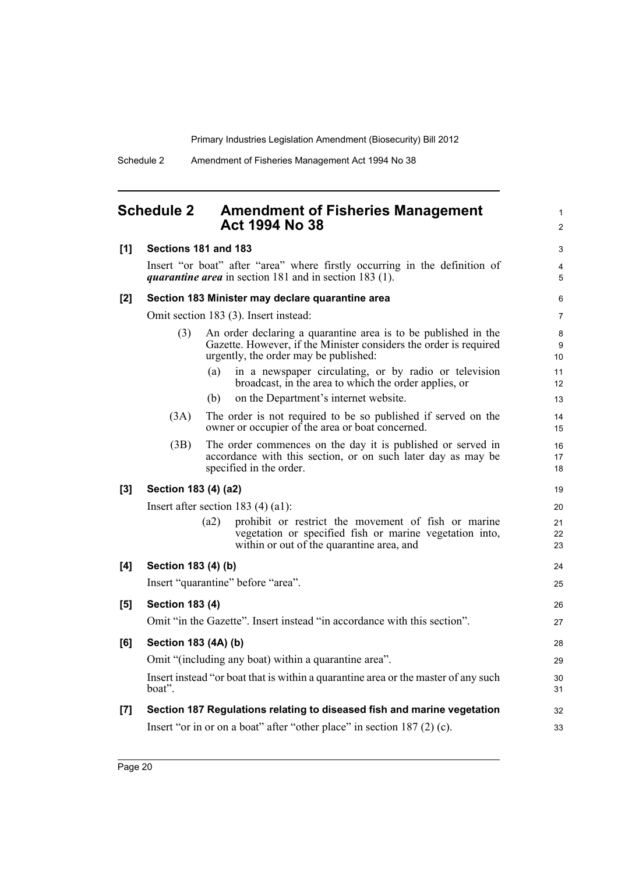1 2

## <span id="page-33-0"></span>**Schedule 2 Amendment of Fisheries Management Act 1994 No 38**

| [1]   | Sections 181 and 183   |      |                                                                                                                                                                              | 3                   |
|-------|------------------------|------|------------------------------------------------------------------------------------------------------------------------------------------------------------------------------|---------------------|
|       |                        |      | Insert "or boat" after "area" where firstly occurring in the definition of<br><i>quarantine area</i> in section 181 and in section 183 (1).                                  | $\overline{4}$<br>5 |
| $[2]$ |                        |      | Section 183 Minister may declare quarantine area                                                                                                                             | 6                   |
|       |                        |      | Omit section 183 (3). Insert instead:                                                                                                                                        | $\overline{7}$      |
|       | (3)                    |      | An order declaring a quarantine area is to be published in the<br>Gazette. However, if the Minister considers the order is required<br>urgently, the order may be published: | 8<br>9<br>10        |
|       |                        | (a)  | in a newspaper circulating, or by radio or television<br>broadcast, in the area to which the order applies, or                                                               | 11<br>12            |
|       |                        | (b)  | on the Department's internet website.                                                                                                                                        | 13                  |
|       | (3A)                   |      | The order is not required to be so published if served on the<br>owner or occupier of the area or boat concerned.                                                            | 14<br>15            |
|       | (3B)                   |      | The order commences on the day it is published or served in<br>accordance with this section, or on such later day as may be<br>specified in the order.                       | 16<br>17<br>18      |
| [3]   | Section 183 (4) (a2)   |      |                                                                                                                                                                              | 19                  |
|       |                        |      | Insert after section 183 $(4)$ (a1):                                                                                                                                         | 20                  |
|       |                        | (a2) | prohibit or restrict the movement of fish or marine<br>vegetation or specified fish or marine vegetation into,<br>within or out of the quarantine area, and                  | 21<br>22<br>23      |
| [4]   | Section 183 (4) (b)    |      |                                                                                                                                                                              | 24                  |
|       |                        |      | Insert "quarantine" before "area".                                                                                                                                           | 25                  |
| [5]   | <b>Section 183 (4)</b> |      |                                                                                                                                                                              | 26                  |
|       |                        |      | Omit "in the Gazette". Insert instead "in accordance with this section".                                                                                                     | 27                  |
| [6]   | Section 183 (4A) (b)   |      |                                                                                                                                                                              | 28                  |
|       |                        |      | Omit "(including any boat) within a quarantine area".                                                                                                                        | 29                  |
|       | boat".                 |      | Insert instead "or boat that is within a quarantine area or the master of any such                                                                                           | 30<br>31            |
| [7]   |                        |      | Section 187 Regulations relating to diseased fish and marine vegetation                                                                                                      | 32                  |
|       |                        |      | Insert "or in or on a boat" after "other place" in section 187 (2) (c).                                                                                                      | 33                  |
|       |                        |      |                                                                                                                                                                              |                     |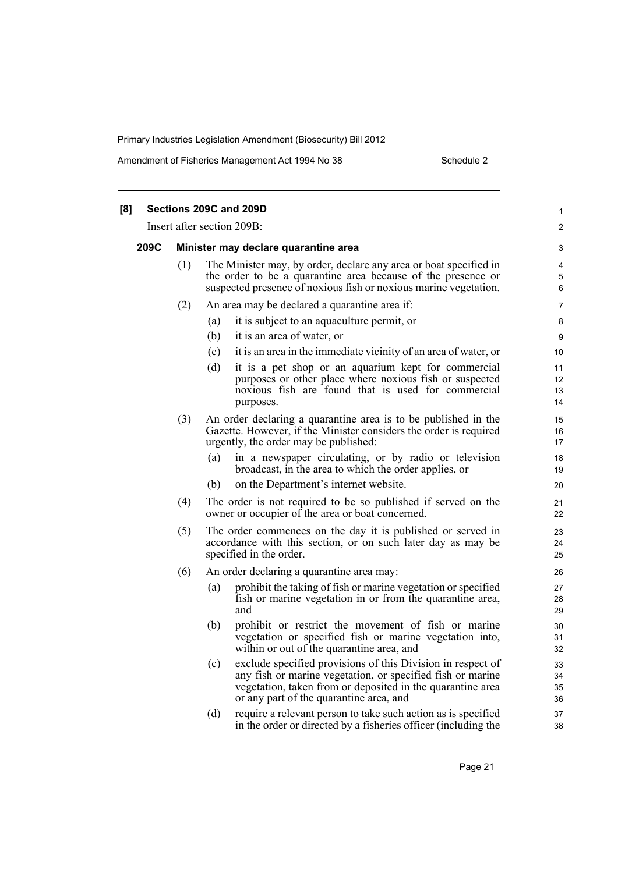Amendment of Fisheries Management Act 1994 No 38 Schedule 2

| [8] |      |     |     | Sections 209C and 209D                                                                                                                                                                                                             | 1                    |
|-----|------|-----|-----|------------------------------------------------------------------------------------------------------------------------------------------------------------------------------------------------------------------------------------|----------------------|
|     |      |     |     | Insert after section 209B:                                                                                                                                                                                                         | 2                    |
|     | 209C |     |     | Minister may declare quarantine area                                                                                                                                                                                               | 3                    |
|     |      | (1) |     | The Minister may, by order, declare any area or boat specified in<br>the order to be a quarantine area because of the presence or<br>suspected presence of noxious fish or noxious marine vegetation.                              | 4<br>5<br>6          |
|     |      | (2) |     | An area may be declared a quarantine area if:                                                                                                                                                                                      | 7                    |
|     |      |     | (a) | it is subject to an aquaculture permit, or                                                                                                                                                                                         | 8                    |
|     |      |     | (b) | it is an area of water, or                                                                                                                                                                                                         | 9                    |
|     |      |     | (c) | it is an area in the immediate vicinity of an area of water, or                                                                                                                                                                    | 10                   |
|     |      |     | (d) | it is a pet shop or an aquarium kept for commercial<br>purposes or other place where noxious fish or suspected<br>noxious fish are found that is used for commercial<br>purposes.                                                  | 11<br>12<br>13<br>14 |
|     |      | (3) |     | An order declaring a quarantine area is to be published in the<br>Gazette. However, if the Minister considers the order is required<br>urgently, the order may be published:                                                       | 15<br>16<br>17       |
|     |      |     | (a) | in a newspaper circulating, or by radio or television<br>broadcast, in the area to which the order applies, or                                                                                                                     | 18<br>19             |
|     |      |     | (b) | on the Department's internet website.                                                                                                                                                                                              | 20                   |
|     |      | (4) |     | The order is not required to be so published if served on the<br>owner or occupier of the area or boat concerned.                                                                                                                  | 21<br>22             |
|     |      | (5) |     | The order commences on the day it is published or served in<br>accordance with this section, or on such later day as may be<br>specified in the order.                                                                             | 23<br>24<br>25       |
|     |      | (6) |     | An order declaring a quarantine area may:                                                                                                                                                                                          | 26                   |
|     |      |     | (a) | prohibit the taking of fish or marine vegetation or specified<br>fish or marine vegetation in or from the quarantine area,<br>and                                                                                                  | 27<br>28<br>29       |
|     |      |     | (b) | prohibit or restrict the movement of fish or marine<br>vegetation or specified fish or marine vegetation into,<br>within or out of the quarantine area, and                                                                        | 30<br>31<br>32       |
|     |      |     | (c) | exclude specified provisions of this Division in respect of<br>any fish or marine vegetation, or specified fish or marine<br>vegetation, taken from or deposited in the quarantine area<br>or any part of the quarantine area, and | 33<br>34<br>35<br>36 |
|     |      |     | (d) | require a relevant person to take such action as is specified<br>in the order or directed by a fisheries officer (including the                                                                                                    | 37<br>38             |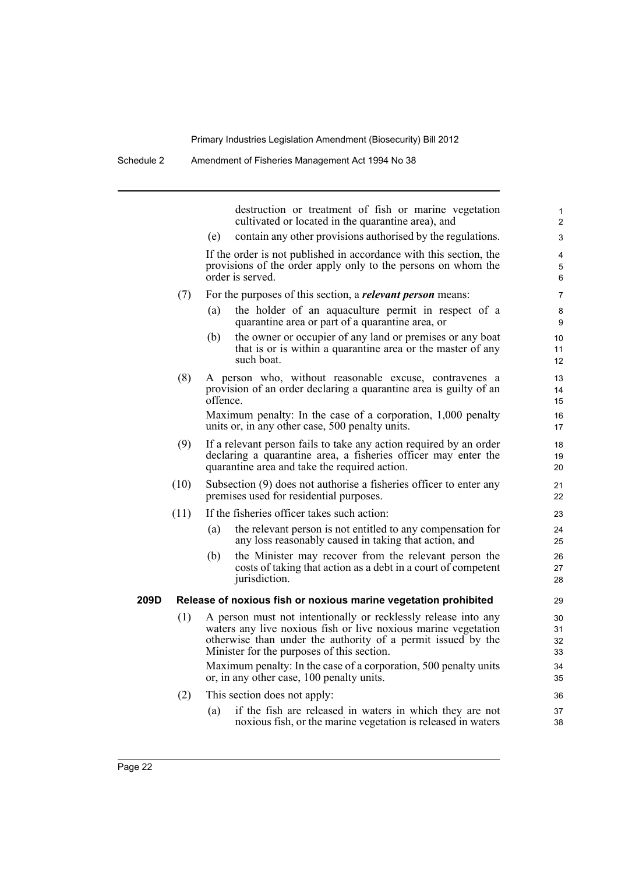Schedule 2 Amendment of Fisheries Management Act 1994 No 38

|      |      | destruction or treatment of fish or marine vegetation<br>cultivated or located in the quarantine area), and                                                                                                                                    | 1<br>$\overline{2}$         |
|------|------|------------------------------------------------------------------------------------------------------------------------------------------------------------------------------------------------------------------------------------------------|-----------------------------|
|      |      | contain any other provisions authorised by the regulations.<br>(e)                                                                                                                                                                             | 3                           |
|      |      | If the order is not published in accordance with this section, the<br>provisions of the order apply only to the persons on whom the<br>order is served.                                                                                        | 4<br>5<br>6                 |
|      | (7)  | For the purposes of this section, a <i>relevant person</i> means:                                                                                                                                                                              | 7                           |
|      |      | the holder of an aquaculture permit in respect of a<br>(a)<br>quarantine area or part of a quarantine area, or                                                                                                                                 | 8<br>9                      |
|      |      | the owner or occupier of any land or premises or any boat<br>(b)<br>that is or is within a quarantine area or the master of any<br>such boat.                                                                                                  | 10<br>11<br>12 <sup>°</sup> |
|      | (8)  | A person who, without reasonable excuse, contravenes a<br>provision of an order declaring a quarantine area is guilty of an<br>offence.                                                                                                        | 13<br>14<br>15              |
|      |      | Maximum penalty: In the case of a corporation, 1,000 penalty<br>units or, in any other case, 500 penalty units.                                                                                                                                | 16<br>17                    |
|      | (9)  | If a relevant person fails to take any action required by an order<br>declaring a quarantine area, a fisheries officer may enter the<br>quarantine area and take the required action.                                                          | 18<br>19<br>20              |
|      | (10) | Subsection (9) does not authorise a fisheries officer to enter any<br>premises used for residential purposes.                                                                                                                                  | 21<br>22                    |
|      | (11) | If the fisheries officer takes such action:                                                                                                                                                                                                    | 23                          |
|      |      | the relevant person is not entitled to any compensation for<br>(a)<br>any loss reasonably caused in taking that action, and                                                                                                                    | 24<br>25                    |
|      |      | the Minister may recover from the relevant person the<br>(b)<br>costs of taking that action as a debt in a court of competent<br>jurisdiction.                                                                                                 | 26<br>27<br>28              |
| 209D |      | Release of noxious fish or noxious marine vegetation prohibited                                                                                                                                                                                | 29                          |
|      | (1)  | A person must not intentionally or recklessly release into any<br>waters any live noxious fish or live noxious marine vegetation<br>otherwise than under the authority of a permit issued by the<br>Minister for the purposes of this section. | 30<br>31<br>32<br>33        |
|      |      | Maximum penalty: In the case of a corporation, 500 penalty units<br>or, in any other case, 100 penalty units.                                                                                                                                  | 34<br>35                    |
|      | (2)  | This section does not apply:                                                                                                                                                                                                                   | 36                          |
|      |      | if the fish are released in waters in which they are not<br>(a)<br>noxious fish, or the marine vegetation is released in waters                                                                                                                | 37<br>38                    |
|      |      |                                                                                                                                                                                                                                                |                             |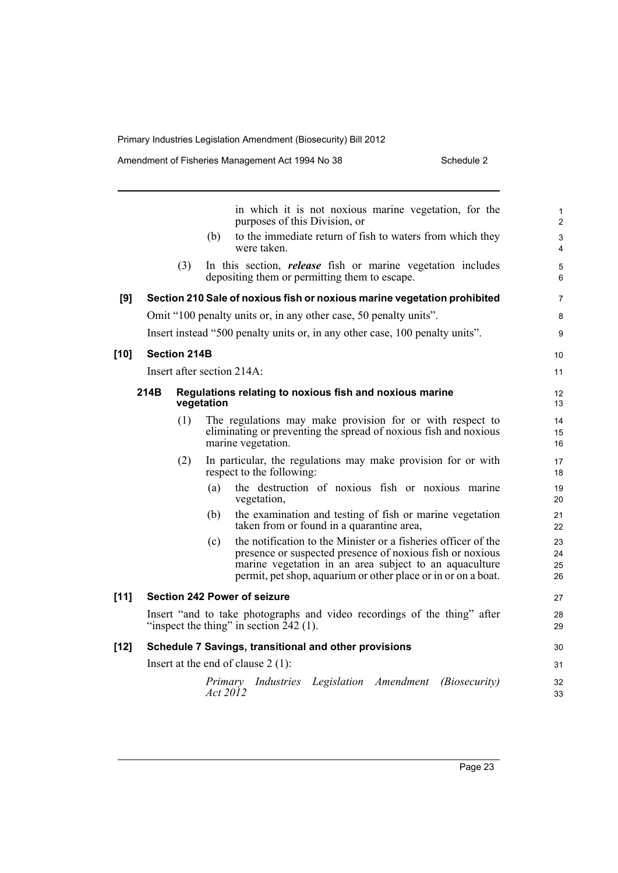|        |      |                     |            | in which it is not noxious marine vegetation, for the<br>purposes of this Division, or                                                                                                                                                                 | 1<br>$\overline{c}$  |
|--------|------|---------------------|------------|--------------------------------------------------------------------------------------------------------------------------------------------------------------------------------------------------------------------------------------------------------|----------------------|
|        |      |                     | (b)        | to the immediate return of fish to waters from which they<br>were taken.                                                                                                                                                                               | 3<br>4               |
|        |      | (3)                 |            | In this section, <i>release</i> fish or marine vegetation includes<br>depositing them or permitting them to escape.                                                                                                                                    | 5<br>6               |
| [9]    |      |                     |            | Section 210 Sale of noxious fish or noxious marine vegetation prohibited                                                                                                                                                                               | 7                    |
|        |      |                     |            | Omit "100 penalty units or, in any other case, 50 penalty units".                                                                                                                                                                                      | 8                    |
|        |      |                     |            | Insert instead "500 penalty units or, in any other case, 100 penalty units".                                                                                                                                                                           | 9                    |
| [10]   |      | <b>Section 214B</b> |            |                                                                                                                                                                                                                                                        | 10                   |
|        |      |                     |            | Insert after section 214A:                                                                                                                                                                                                                             | 11                   |
|        | 214B |                     | vegetation | Regulations relating to noxious fish and noxious marine                                                                                                                                                                                                | 12<br>13             |
|        |      | (1)                 |            | The regulations may make provision for or with respect to<br>eliminating or preventing the spread of noxious fish and noxious<br>marine vegetation.                                                                                                    | 14<br>15<br>16       |
|        |      | (2)                 |            | In particular, the regulations may make provision for or with<br>respect to the following:                                                                                                                                                             | 17<br>18             |
|        |      |                     | (a)        | the destruction of noxious fish or noxious marine<br>vegetation,                                                                                                                                                                                       | 19<br>20             |
|        |      |                     | (b)        | the examination and testing of fish or marine vegetation<br>taken from or found in a quarantine area,                                                                                                                                                  | 21<br>22             |
|        |      |                     | (c)        | the notification to the Minister or a fisheries officer of the<br>presence or suspected presence of noxious fish or noxious<br>marine vegetation in an area subject to an aquaculture<br>permit, pet shop, aquarium or other place or in or on a boat. | 23<br>24<br>25<br>26 |
| $[11]$ |      |                     |            | <b>Section 242 Power of seizure</b>                                                                                                                                                                                                                    | 27                   |
|        |      |                     |            | Insert "and to take photographs and video recordings of the thing" after<br>"inspect the thing" in section $242$ (1).                                                                                                                                  | 28<br>29             |
| [12]   |      |                     |            | Schedule 7 Savings, transitional and other provisions                                                                                                                                                                                                  | 30                   |
|        |      |                     |            | Insert at the end of clause $2(1)$ :                                                                                                                                                                                                                   | 31                   |
|        |      |                     | Act 2012   | Primary Industries Legislation Amendment<br><i>(Biosecurity)</i>                                                                                                                                                                                       | 32<br>33             |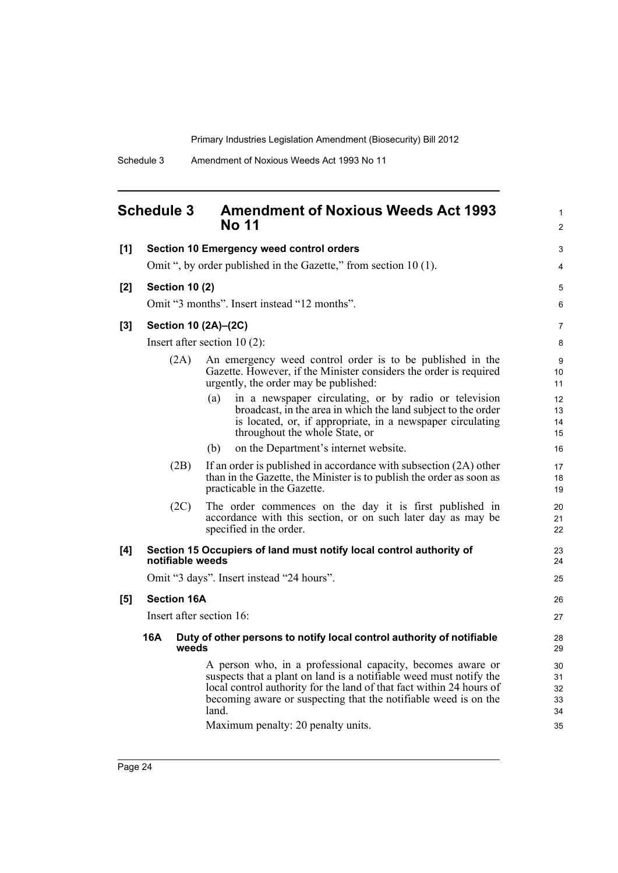1 2

## <span id="page-37-0"></span>**Schedule 3 Amendment of Noxious Weeds Act 1993 No 11**

| [1] |                          | <b>Section 10 Emergency weed control orders</b>                                                                                                                                                                                                                                                                            | 3                                |  |  |  |
|-----|--------------------------|----------------------------------------------------------------------------------------------------------------------------------------------------------------------------------------------------------------------------------------------------------------------------------------------------------------------------|----------------------------------|--|--|--|
|     |                          | Omit ", by order published in the Gazette," from section 10 (1).                                                                                                                                                                                                                                                           | 4                                |  |  |  |
| [2] | <b>Section 10 (2)</b>    |                                                                                                                                                                                                                                                                                                                            |                                  |  |  |  |
|     |                          | Omit "3 months". Insert instead "12 months".                                                                                                                                                                                                                                                                               | 6                                |  |  |  |
| [3] | Section 10 (2A)-(2C)     |                                                                                                                                                                                                                                                                                                                            | 7                                |  |  |  |
|     |                          | Insert after section $10(2)$ :                                                                                                                                                                                                                                                                                             | 8                                |  |  |  |
|     | (2A)                     | An emergency weed control order is to be published in the<br>Gazette. However, if the Minister considers the order is required<br>urgently, the order may be published:                                                                                                                                                    | 9<br>10<br>11                    |  |  |  |
|     |                          | in a newspaper circulating, or by radio or television<br>(a)<br>broadcast, in the area in which the land subject to the order<br>is located, or, if appropriate, in a newspaper circulating<br>throughout the whole State, or                                                                                              | 12<br>13<br>14<br>15             |  |  |  |
|     |                          | on the Department's internet website.<br>(b)                                                                                                                                                                                                                                                                               | 16                               |  |  |  |
|     | (2B)                     | If an order is published in accordance with subsection (2A) other<br>than in the Gazette, the Minister is to publish the order as soon as<br>practicable in the Gazette.                                                                                                                                                   | 17<br>18<br>19                   |  |  |  |
|     | (2C)                     | The order commences on the day it is first published in<br>accordance with this section, or on such later day as may be<br>specified in the order.                                                                                                                                                                         | 20<br>21<br>22                   |  |  |  |
| [4] | notifiable weeds         | Section 15 Occupiers of land must notify local control authority of                                                                                                                                                                                                                                                        | 23<br>24                         |  |  |  |
|     |                          | Omit "3 days". Insert instead "24 hours".                                                                                                                                                                                                                                                                                  | 25                               |  |  |  |
| [5] | <b>Section 16A</b>       |                                                                                                                                                                                                                                                                                                                            | 26                               |  |  |  |
|     | Insert after section 16: |                                                                                                                                                                                                                                                                                                                            | 27                               |  |  |  |
|     | 16A<br>weeds             | Duty of other persons to notify local control authority of notifiable                                                                                                                                                                                                                                                      | 28<br>29                         |  |  |  |
|     |                          | A person who, in a professional capacity, becomes aware or<br>suspects that a plant on land is a notifiable weed must notify the<br>local control authority for the land of that fact within 24 hours of<br>becoming aware or suspecting that the notifiable weed is on the<br>land.<br>Maximum penalty: 20 penalty units. | 30<br>31<br>32<br>33<br>34<br>35 |  |  |  |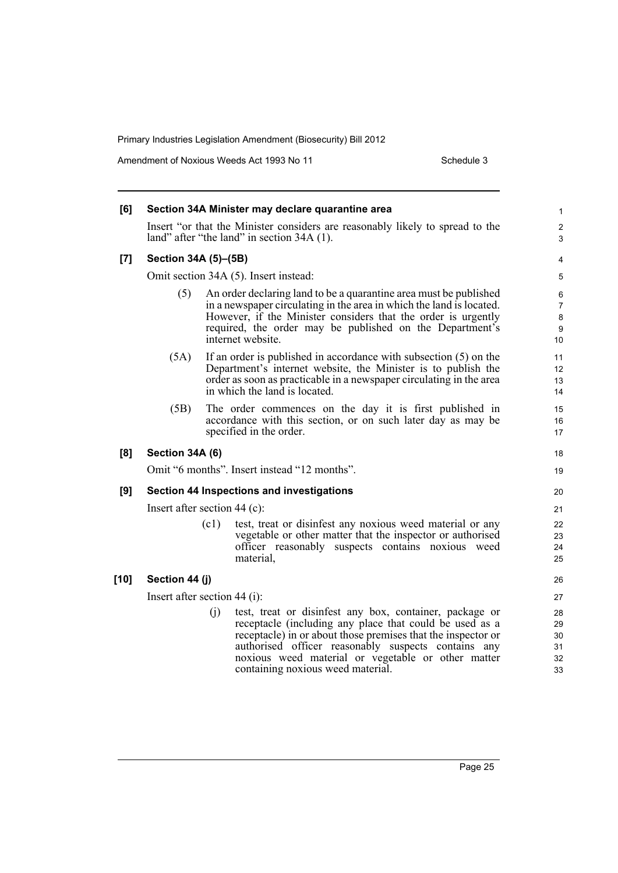Amendment of Noxious Weeds Act 1993 No 11 Schedule 3

| [6]    |                                |      | Section 34A Minister may declare quarantine area                                                                                                                                                                                                                                                                                     | 1                                     |
|--------|--------------------------------|------|--------------------------------------------------------------------------------------------------------------------------------------------------------------------------------------------------------------------------------------------------------------------------------------------------------------------------------------|---------------------------------------|
|        |                                |      | Insert "or that the Minister considers are reasonably likely to spread to the<br>land" after "the land" in section 34A (1).                                                                                                                                                                                                          | $\overline{2}$<br>3                   |
| [7]    | Section 34A (5)-(5B)           |      |                                                                                                                                                                                                                                                                                                                                      | 4                                     |
|        |                                |      | Omit section 34A (5). Insert instead:                                                                                                                                                                                                                                                                                                | 5                                     |
|        | (5)                            |      | An order declaring land to be a quarantine area must be published<br>in a newspaper circulating in the area in which the land is located.<br>However, if the Minister considers that the order is urgently<br>required, the order may be published on the Department's<br>internet website.                                          | 6<br>7<br>8<br>$\boldsymbol{9}$<br>10 |
|        | (5A)                           |      | If an order is published in accordance with subsection $(5)$ on the<br>Department's internet website, the Minister is to publish the<br>order as soon as practicable in a newspaper circulating in the area<br>in which the land is located.                                                                                         | 11<br>12<br>13<br>14                  |
|        | (5B)                           |      | The order commences on the day it is first published in<br>accordance with this section, or on such later day as may be<br>specified in the order.                                                                                                                                                                                   | 15<br>16<br>17                        |
| [8]    | Section 34A (6)                |      |                                                                                                                                                                                                                                                                                                                                      | 18                                    |
|        |                                |      | Omit "6 months". Insert instead "12 months".                                                                                                                                                                                                                                                                                         | 19                                    |
| [9]    |                                |      | Section 44 Inspections and investigations                                                                                                                                                                                                                                                                                            | 20                                    |
|        | Insert after section $44$ (c): |      |                                                                                                                                                                                                                                                                                                                                      | 21                                    |
|        |                                | (c1) | test, treat or disinfest any noxious weed material or any<br>vegetable or other matter that the inspector or authorised<br>officer reasonably suspects contains noxious weed<br>material.                                                                                                                                            | 22<br>23<br>24<br>25                  |
| $[10]$ | Section 44 (j)                 |      |                                                                                                                                                                                                                                                                                                                                      | 26                                    |
|        | Insert after section $44$ (i): |      |                                                                                                                                                                                                                                                                                                                                      | 27                                    |
|        |                                | (i)  | test, treat or disinfest any box, container, package or<br>receptacle (including any place that could be used as a<br>receptacle) in or about those premises that the inspector or<br>authorised officer reasonably suspects contains any<br>noxious weed material or vegetable or other matter<br>containing noxious weed material. | 28<br>29<br>30<br>31<br>32<br>33      |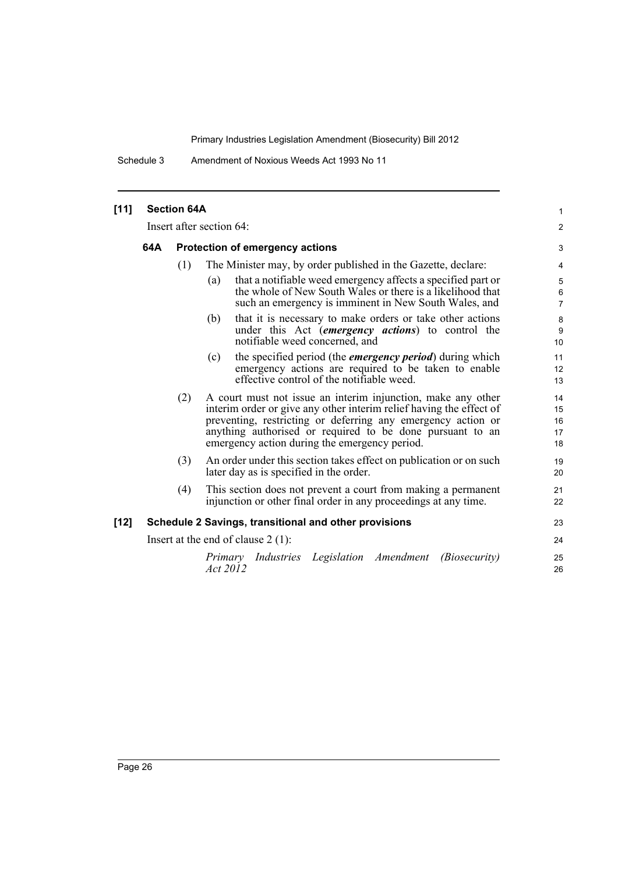Schedule 3 Amendment of Noxious Weeds Act 1993 No 11

| $[11]$ | <b>Section 64A</b><br>Insert after section 64: |                                        |                                                                                                                                                                                                                                                                                                                   |                                   |  |
|--------|------------------------------------------------|----------------------------------------|-------------------------------------------------------------------------------------------------------------------------------------------------------------------------------------------------------------------------------------------------------------------------------------------------------------------|-----------------------------------|--|
|        |                                                |                                        |                                                                                                                                                                                                                                                                                                                   |                                   |  |
|        | 64A                                            | <b>Protection of emergency actions</b> |                                                                                                                                                                                                                                                                                                                   |                                   |  |
|        |                                                | (1)                                    | The Minister may, by order published in the Gazette, declare:                                                                                                                                                                                                                                                     | 4                                 |  |
|        |                                                |                                        | that a notifiable weed emergency affects a specified part or<br>(a)<br>the whole of New South Wales or there is a likelihood that<br>such an emergency is imminent in New South Wales, and                                                                                                                        | 5<br>$\,6\,$<br>$\overline{7}$    |  |
|        |                                                |                                        | that it is necessary to make orders or take other actions<br>(b)<br>under this Act <i>(emergency actions)</i> to control the<br>notifiable weed concerned, and                                                                                                                                                    | $\bf 8$<br>$\boldsymbol{9}$<br>10 |  |
|        |                                                |                                        | the specified period (the <i>emergency period</i> ) during which<br>(c)<br>emergency actions are required to be taken to enable<br>effective control of the notifiable weed.                                                                                                                                      | 11<br>12<br>13                    |  |
|        |                                                | (2)                                    | A court must not issue an interim injunction, make any other<br>interim order or give any other interim relief having the effect of<br>preventing, restricting or deferring any emergency action or<br>anything authorised or required to be done pursuant to an<br>emergency action during the emergency period. | 14<br>15<br>16<br>17<br>18        |  |
|        |                                                | (3)                                    | An order under this section takes effect on publication or on such<br>later day as is specified in the order.                                                                                                                                                                                                     | 19<br>20                          |  |
|        |                                                | (4)                                    | This section does not prevent a court from making a permanent<br>injunction or other final order in any proceedings at any time.                                                                                                                                                                                  | 21<br>22                          |  |
| $[12]$ |                                                |                                        | Schedule 2 Savings, transitional and other provisions                                                                                                                                                                                                                                                             | 23                                |  |
|        |                                                |                                        | Insert at the end of clause $2(1)$ :                                                                                                                                                                                                                                                                              | 24                                |  |
|        |                                                |                                        | Primary Industries Legislation Amendment<br><i>(Biosecurity)</i><br>Act 2012                                                                                                                                                                                                                                      | 25<br>26                          |  |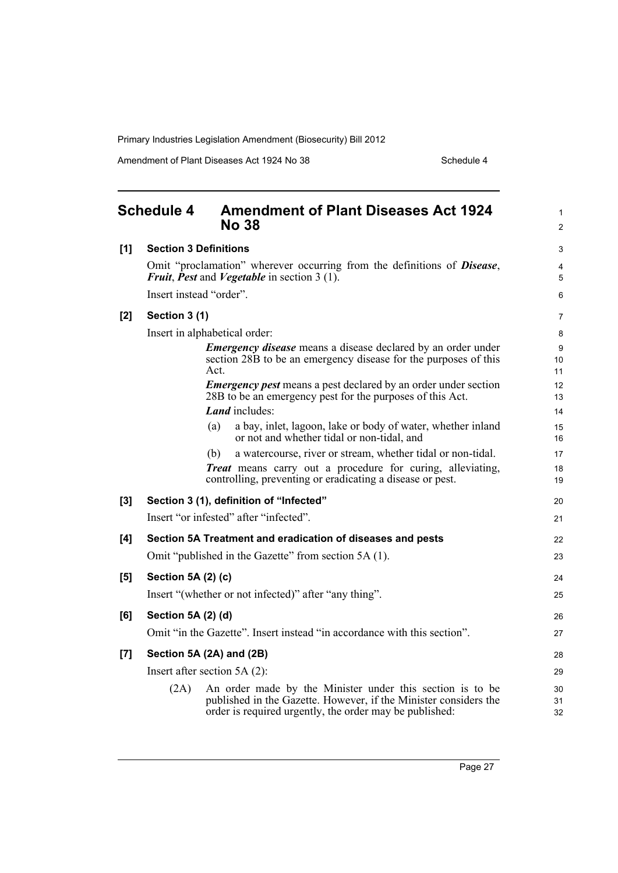Amendment of Plant Diseases Act 1924 No 38 Schedule 4

<span id="page-40-0"></span>

|     | <b>Schedule 4</b>            | <b>Amendment of Plant Diseases Act 1924</b><br><b>No 38</b>                                                                                                                              | $\mathbf{1}$<br>$\overline{2}$ |
|-----|------------------------------|------------------------------------------------------------------------------------------------------------------------------------------------------------------------------------------|--------------------------------|
| [1] | <b>Section 3 Definitions</b> |                                                                                                                                                                                          | 3                              |
|     |                              | Omit "proclamation" wherever occurring from the definitions of <b>Disease</b> ,<br><b>Fruit, Pest and Vegetable in section 3 (1).</b>                                                    | 4<br>5                         |
|     | Insert instead "order".      |                                                                                                                                                                                          | 6                              |
| [2] | Section 3 (1)                |                                                                                                                                                                                          | 7                              |
|     |                              | Insert in alphabetical order:                                                                                                                                                            | 8                              |
|     |                              | <b>Emergency disease</b> means a disease declared by an order under<br>section 28B to be an emergency disease for the purposes of this<br>Act.                                           | 9<br>10<br>11                  |
|     |                              | <b>Emergency pest means a pest declared by an order under section</b><br>28B to be an emergency pest for the purposes of this Act.                                                       | 12<br>13                       |
|     |                              | <b>Land</b> includes:                                                                                                                                                                    | 14                             |
|     |                              | a bay, inlet, lagoon, lake or body of water, whether inland<br>(a)<br>or not and whether tidal or non-tidal, and                                                                         | 15<br>16                       |
|     |                              | a watercourse, river or stream, whether tidal or non-tidal.<br>(b)                                                                                                                       | 17                             |
|     |                              | <b>Treat</b> means carry out a procedure for curing, alleviating,<br>controlling, preventing or eradicating a disease or pest.                                                           | 18<br>19                       |
| [3] |                              | Section 3 (1), definition of "Infected"                                                                                                                                                  | 20                             |
|     |                              | Insert "or infested" after "infected".                                                                                                                                                   | 21                             |
| [4] |                              | Section 5A Treatment and eradication of diseases and pests                                                                                                                               | 22                             |
|     |                              | Omit "published in the Gazette" from section 5A (1).                                                                                                                                     | 23                             |
| [5] | Section 5A (2) (c)           |                                                                                                                                                                                          | 24                             |
|     |                              | Insert "(whether or not infected)" after "any thing".                                                                                                                                    | 25                             |
| [6] | Section 5A (2) (d)           |                                                                                                                                                                                          | 26                             |
|     |                              | Omit "in the Gazette". Insert instead "in accordance with this section".                                                                                                                 | 27                             |
| [7] |                              | Section 5A (2A) and (2B)                                                                                                                                                                 | 28                             |
|     |                              | Insert after section $5A(2)$ :                                                                                                                                                           | 29                             |
|     | (2A)                         | An order made by the Minister under this section is to be<br>published in the Gazette. However, if the Minister considers the<br>order is required urgently, the order may be published: | 30<br>31<br>32                 |

Page 27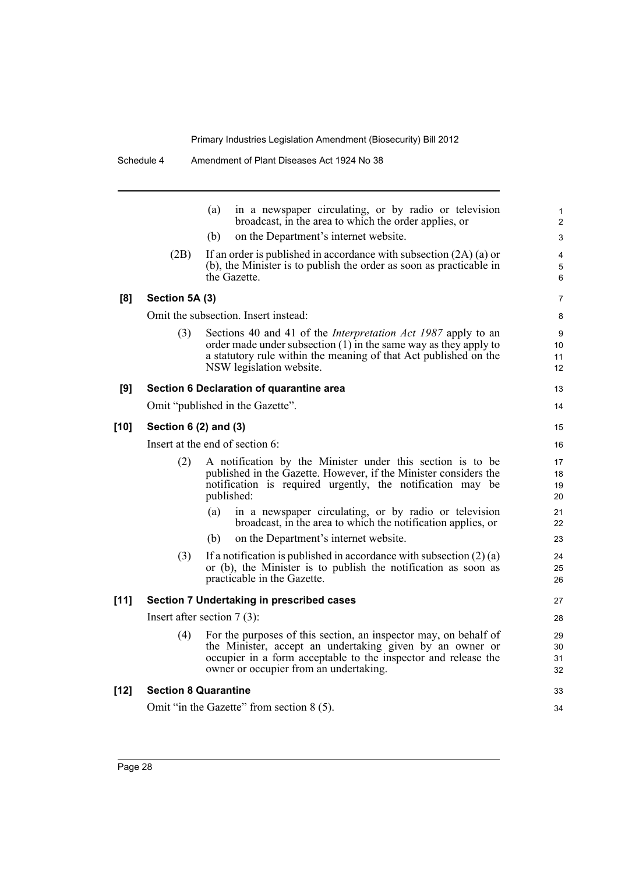|        |                                           | (a)<br>in a newspaper circulating, or by radio or television<br>broadcast, in the area to which the order applies, or                                                                                                                      | 1<br>$\overline{\mathbf{c}}$ |  |  |
|--------|-------------------------------------------|--------------------------------------------------------------------------------------------------------------------------------------------------------------------------------------------------------------------------------------------|------------------------------|--|--|
|        |                                           | (b)<br>on the Department's internet website.                                                                                                                                                                                               | 3                            |  |  |
|        | (2B)                                      | If an order is published in accordance with subsection $(2A)(a)$ or<br>(b), the Minister is to publish the order as soon as practicable in<br>the Gazette.                                                                                 | 4<br>5<br>6                  |  |  |
| [8]    | Section 5A (3)                            |                                                                                                                                                                                                                                            | 7                            |  |  |
|        | Omit the subsection. Insert instead:      |                                                                                                                                                                                                                                            |                              |  |  |
|        | (3)                                       | Sections 40 and 41 of the <i>Interpretation Act 1987</i> apply to an<br>order made under subsection $(1)$ in the same way as they apply to<br>a statutory rule within the meaning of that Act published on the<br>NSW legislation website. | 9<br>10<br>11<br>12          |  |  |
| [9]    | Section 6 Declaration of quarantine area  |                                                                                                                                                                                                                                            |                              |  |  |
|        |                                           | Omit "published in the Gazette".                                                                                                                                                                                                           | 14                           |  |  |
| $[10]$ | Section 6 (2) and (3)                     |                                                                                                                                                                                                                                            |                              |  |  |
|        | Insert at the end of section 6:           |                                                                                                                                                                                                                                            |                              |  |  |
|        | (2)                                       | A notification by the Minister under this section is to be<br>published in the Gazette. However, if the Minister considers the<br>notification is required urgently, the notification may be<br>published:                                 | 17<br>18<br>19<br>20         |  |  |
|        |                                           | in a newspaper circulating, or by radio or television<br>(a)<br>broadcast, in the area to which the notification applies, or                                                                                                               | 21<br>22                     |  |  |
|        |                                           | (b)<br>on the Department's internet website.                                                                                                                                                                                               | 23                           |  |  |
|        | (3)                                       | If a notification is published in accordance with subsection $(2)$ (a)<br>or (b), the Minister is to publish the notification as soon as<br>practicable in the Gazette.                                                                    | 24<br>25<br>26               |  |  |
| [11]   | Section 7 Undertaking in prescribed cases |                                                                                                                                                                                                                                            |                              |  |  |
|        | Insert after section $7(3)$ :             |                                                                                                                                                                                                                                            |                              |  |  |
|        | (4)                                       | For the purposes of this section, an inspector may, on behalf of<br>the Minister, accept an undertaking given by an owner or<br>occupier in a form acceptable to the inspector and release the<br>owner or occupier from an undertaking.   | 29<br>30<br>31<br>32         |  |  |
| $[12]$ | <b>Section 8 Quarantine</b>               |                                                                                                                                                                                                                                            |                              |  |  |
|        |                                           | Omit "in the Gazette" from section 8 (5).                                                                                                                                                                                                  | 34                           |  |  |
|        |                                           |                                                                                                                                                                                                                                            |                              |  |  |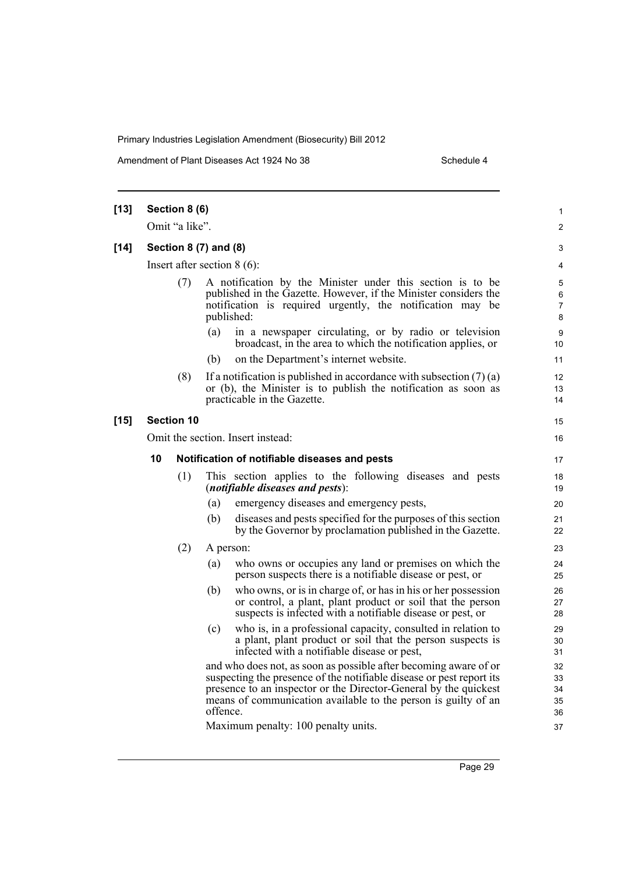Amendment of Plant Diseases Act 1924 No 38 Schedule 4

| $[13]$ | Section 8 (6)                 |                |                                                                                                                                                                                                            |                                                                                                                                                                                                                                                                                                                       | 1                          |  |
|--------|-------------------------------|----------------|------------------------------------------------------------------------------------------------------------------------------------------------------------------------------------------------------------|-----------------------------------------------------------------------------------------------------------------------------------------------------------------------------------------------------------------------------------------------------------------------------------------------------------------------|----------------------------|--|
|        |                               | Omit "a like". |                                                                                                                                                                                                            |                                                                                                                                                                                                                                                                                                                       | $\overline{c}$             |  |
| $[14]$ | Section 8 (7) and (8)         |                |                                                                                                                                                                                                            |                                                                                                                                                                                                                                                                                                                       |                            |  |
|        | Insert after section $8(6)$ : |                |                                                                                                                                                                                                            |                                                                                                                                                                                                                                                                                                                       |                            |  |
|        |                               | (7)            | A notification by the Minister under this section is to be<br>published in the Gazette. However, if the Minister considers the<br>notification is required urgently, the notification may be<br>published: |                                                                                                                                                                                                                                                                                                                       | 5<br>6<br>7<br>8           |  |
|        |                               |                | (a)                                                                                                                                                                                                        | in a newspaper circulating, or by radio or television<br>broadcast, in the area to which the notification applies, or                                                                                                                                                                                                 | 9<br>10                    |  |
|        |                               |                | (b)                                                                                                                                                                                                        | on the Department's internet website.                                                                                                                                                                                                                                                                                 | 11                         |  |
|        |                               | (8)            |                                                                                                                                                                                                            | If a notification is published in accordance with subsection $(7)(a)$<br>or (b), the Minister is to publish the notification as soon as<br>practicable in the Gazette.                                                                                                                                                | 12<br>13<br>14             |  |
| [15]   | <b>Section 10</b>             |                |                                                                                                                                                                                                            |                                                                                                                                                                                                                                                                                                                       |                            |  |
|        |                               |                |                                                                                                                                                                                                            | Omit the section. Insert instead:                                                                                                                                                                                                                                                                                     | 16                         |  |
|        | 10                            |                |                                                                                                                                                                                                            | Notification of notifiable diseases and pests                                                                                                                                                                                                                                                                         | 17                         |  |
|        |                               | (1)            |                                                                                                                                                                                                            | This section applies to the following diseases and pests<br><i>(notifiable diseases and pests):</i>                                                                                                                                                                                                                   | 18<br>19                   |  |
|        |                               |                | (a)                                                                                                                                                                                                        | emergency diseases and emergency pests,                                                                                                                                                                                                                                                                               | 20                         |  |
|        |                               |                | (b)                                                                                                                                                                                                        | diseases and pests specified for the purposes of this section<br>by the Governor by proclamation published in the Gazette.                                                                                                                                                                                            | 21<br>22                   |  |
|        |                               | (2)            |                                                                                                                                                                                                            | A person:                                                                                                                                                                                                                                                                                                             | 23                         |  |
|        |                               |                | (a)                                                                                                                                                                                                        | who owns or occupies any land or premises on which the<br>person suspects there is a notifiable disease or pest, or                                                                                                                                                                                                   | 24<br>25                   |  |
|        |                               |                | (b)                                                                                                                                                                                                        | who owns, or is in charge of, or has in his or her possession<br>or control, a plant, plant product or soil that the person<br>suspects is infected with a notifiable disease or pest, or                                                                                                                             | 26<br>27<br>28             |  |
|        |                               |                | (c)                                                                                                                                                                                                        | who is, in a professional capacity, consulted in relation to<br>a plant, plant product or soil that the person suspects is<br>infected with a notifiable disease or pest,                                                                                                                                             | 29<br>30<br>31             |  |
|        |                               |                | offence.                                                                                                                                                                                                   | and who does not, as soon as possible after becoming aware of or<br>suspecting the presence of the notifiable disease or pest report its<br>presence to an inspector or the Director-General by the quickest<br>means of communication available to the person is guilty of an<br>Maximum penalty: 100 penalty units. | 32<br>33<br>34<br>35<br>36 |  |
|        |                               |                |                                                                                                                                                                                                            |                                                                                                                                                                                                                                                                                                                       | 37                         |  |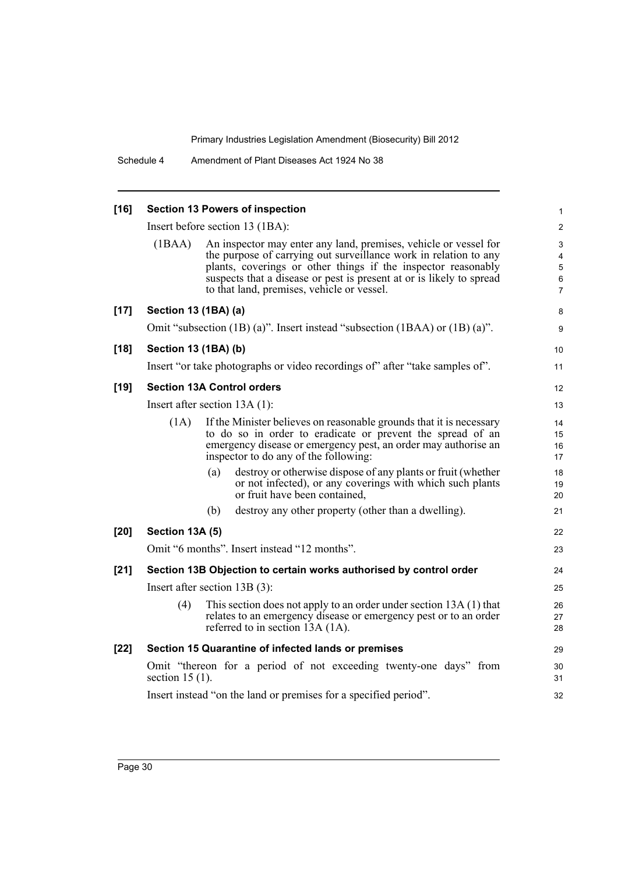| $[16]$ | <b>Section 13 Powers of inspection</b>                                                  |                                                                                                                                                                                                                                                                                                                             |                                                                  |  |  |
|--------|-----------------------------------------------------------------------------------------|-----------------------------------------------------------------------------------------------------------------------------------------------------------------------------------------------------------------------------------------------------------------------------------------------------------------------------|------------------------------------------------------------------|--|--|
|        | Insert before section 13 (1BA):                                                         |                                                                                                                                                                                                                                                                                                                             |                                                                  |  |  |
|        | (1BAA)                                                                                  | An inspector may enter any land, premises, vehicle or vessel for<br>the purpose of carrying out surveillance work in relation to any<br>plants, coverings or other things if the inspector reasonably<br>suspects that a disease or pest is present at or is likely to spread<br>to that land, premises, vehicle or vessel. | $\ensuremath{\mathsf{3}}$<br>4<br>5<br>$\,6\,$<br>$\overline{7}$ |  |  |
| $[17]$ | Section 13 (1BA) (a)                                                                    |                                                                                                                                                                                                                                                                                                                             | 8                                                                |  |  |
|        |                                                                                         | Omit "subsection (1B) (a)". Insert instead "subsection (1BAA) or (1B) (a)".                                                                                                                                                                                                                                                 | 9                                                                |  |  |
| $[18]$ | Section 13 (1BA) (b)                                                                    |                                                                                                                                                                                                                                                                                                                             | 10                                                               |  |  |
|        |                                                                                         | Insert "or take photographs or video recordings of" after "take samples of".                                                                                                                                                                                                                                                | 11                                                               |  |  |
| $[19]$ | <b>Section 13A Control orders</b>                                                       |                                                                                                                                                                                                                                                                                                                             |                                                                  |  |  |
|        |                                                                                         | Insert after section $13A(1)$ :                                                                                                                                                                                                                                                                                             | 13                                                               |  |  |
|        | (1A)                                                                                    | If the Minister believes on reasonable grounds that it is necessary<br>to do so in order to eradicate or prevent the spread of an<br>emergency disease or emergency pest, an order may authorise an<br>inspector to do any of the following:                                                                                | 14<br>15<br>16<br>17                                             |  |  |
|        |                                                                                         | destroy or otherwise dispose of any plants or fruit (whether<br>(a)<br>or not infected), or any coverings with which such plants<br>or fruit have been contained.                                                                                                                                                           | 18<br>19<br>20                                                   |  |  |
|        |                                                                                         | destroy any other property (other than a dwelling).<br>(b)                                                                                                                                                                                                                                                                  | 21                                                               |  |  |
| [20]   | Section 13A (5)                                                                         |                                                                                                                                                                                                                                                                                                                             | 22                                                               |  |  |
|        |                                                                                         | Omit "6 months". Insert instead "12 months".                                                                                                                                                                                                                                                                                | 23                                                               |  |  |
| $[21]$ |                                                                                         | Section 13B Objection to certain works authorised by control order                                                                                                                                                                                                                                                          | 24                                                               |  |  |
|        | Insert after section $13B(3)$ :                                                         |                                                                                                                                                                                                                                                                                                                             |                                                                  |  |  |
|        | (4)                                                                                     | This section does not apply to an order under section 13A (1) that<br>relates to an emergency disease or emergency pest or to an order<br>referred to in section 13A (1A).                                                                                                                                                  | 26<br>27<br>28                                                   |  |  |
| $[22]$ |                                                                                         | Section 15 Quarantine of infected lands or premises                                                                                                                                                                                                                                                                         | 29                                                               |  |  |
|        | Omit "thereon for a period of not exceeding twenty-one days" from<br>section 15 $(1)$ . |                                                                                                                                                                                                                                                                                                                             |                                                                  |  |  |
|        | Insert instead "on the land or premises for a specified period".                        |                                                                                                                                                                                                                                                                                                                             |                                                                  |  |  |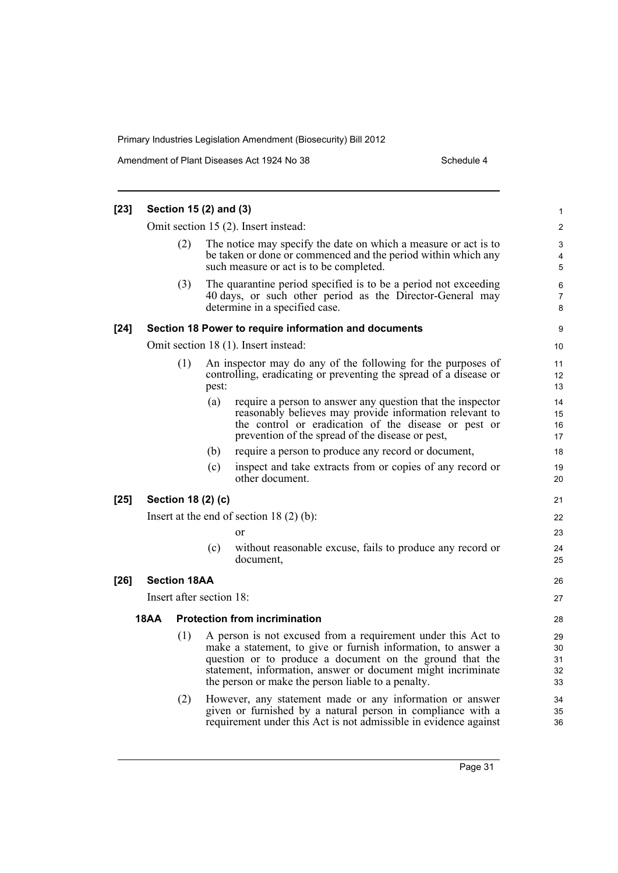Amendment of Plant Diseases Act 1924 No 38 Schedule 4

| $[23]$ | Section 15 (2) and (3)                                |                                      |       |                                                                                                                                                                                                                                                                                                                 |                            |  |
|--------|-------------------------------------------------------|--------------------------------------|-------|-----------------------------------------------------------------------------------------------------------------------------------------------------------------------------------------------------------------------------------------------------------------------------------------------------------------|----------------------------|--|
|        | Omit section 15 (2). Insert instead:                  |                                      |       |                                                                                                                                                                                                                                                                                                                 |                            |  |
|        |                                                       | (2)                                  |       | The notice may specify the date on which a measure or act is to<br>be taken or done or commenced and the period within which any<br>such measure or act is to be completed.                                                                                                                                     | 3<br>4<br>5                |  |
|        |                                                       | (3)                                  |       | The quarantine period specified is to be a period not exceeding<br>40 days, or such other period as the Director-General may<br>determine in a specified case.                                                                                                                                                  | 6<br>$\overline{7}$<br>8   |  |
| $[24]$ | Section 18 Power to require information and documents |                                      |       |                                                                                                                                                                                                                                                                                                                 |                            |  |
|        |                                                       |                                      |       | Omit section 18 (1). Insert instead:                                                                                                                                                                                                                                                                            | 10                         |  |
|        |                                                       | (1)                                  | pest: | An inspector may do any of the following for the purposes of<br>controlling, eradicating or preventing the spread of a disease or                                                                                                                                                                               | 11<br>12<br>13             |  |
|        |                                                       |                                      | (a)   | require a person to answer any question that the inspector<br>reasonably believes may provide information relevant to<br>the control or eradication of the disease or pest or<br>prevention of the spread of the disease or pest,                                                                               | 14<br>15<br>16<br>17       |  |
|        |                                                       |                                      | (b)   | require a person to produce any record or document,                                                                                                                                                                                                                                                             | 18                         |  |
|        |                                                       |                                      | (c)   | inspect and take extracts from or copies of any record or<br>other document.                                                                                                                                                                                                                                    | 19<br>20                   |  |
| $[25]$ |                                                       | Section 18 (2) (c)                   |       |                                                                                                                                                                                                                                                                                                                 | 21                         |  |
|        | Insert at the end of section $18(2)(b)$ :             |                                      |       |                                                                                                                                                                                                                                                                                                                 | 22                         |  |
|        |                                                       |                                      |       | or                                                                                                                                                                                                                                                                                                              | 23                         |  |
|        |                                                       |                                      | (c)   | without reasonable excuse, fails to produce any record or<br>document,                                                                                                                                                                                                                                          | 24<br>25                   |  |
| $[26]$ |                                                       | <b>Section 18AA</b>                  |       |                                                                                                                                                                                                                                                                                                                 | 26                         |  |
|        | Insert after section 18:                              |                                      |       |                                                                                                                                                                                                                                                                                                                 |                            |  |
|        | <b>18AA</b>                                           | <b>Protection from incrimination</b> |       |                                                                                                                                                                                                                                                                                                                 |                            |  |
|        |                                                       | (1)                                  |       | A person is not excused from a requirement under this Act to<br>make a statement, to give or furnish information, to answer a<br>question or to produce a document on the ground that the<br>statement, information, answer or document might incriminate<br>the person or make the person liable to a penalty. | 29<br>30<br>31<br>32<br>33 |  |
|        |                                                       | (2)                                  |       | However, any statement made or any information or answer<br>given or furnished by a natural person in compliance with a<br>requirement under this Act is not admissible in evidence against                                                                                                                     | 34<br>35<br>36             |  |
|        |                                                       |                                      |       |                                                                                                                                                                                                                                                                                                                 |                            |  |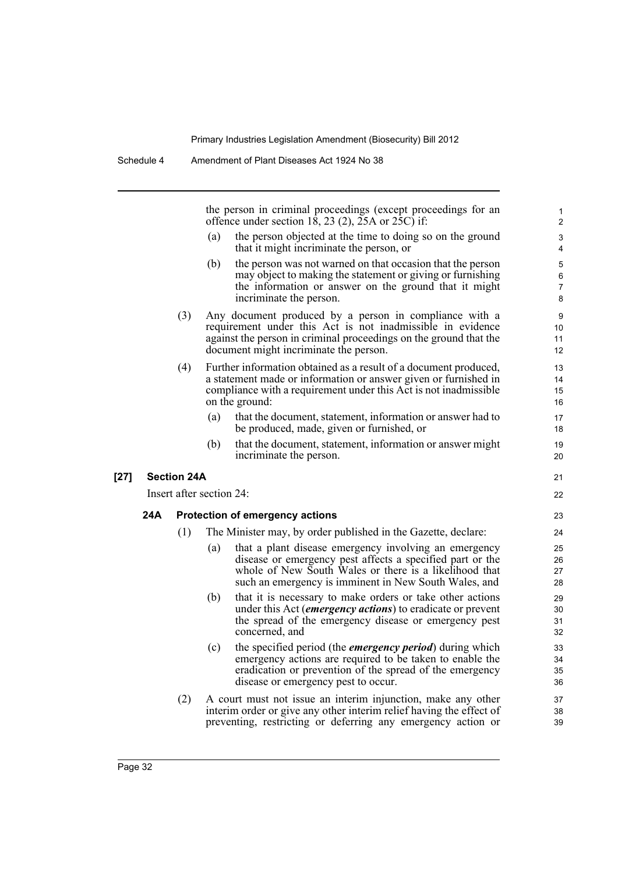the person in criminal proceedings (except proceedings for an offence under section 18, 23 (2),  $25A$  or  $25C$  if:

(a) the person objected at the time to doing so on the ground that it might incriminate the person, or

- (b) the person was not warned on that occasion that the person may object to making the statement or giving or furnishing the information or answer on the ground that it might incriminate the person.
- (3) Any document produced by a person in compliance with a requirement under this Act is not inadmissible in evidence against the person in criminal proceedings on the ground that the document might incriminate the person.
- (4) Further information obtained as a result of a document produced, a statement made or information or answer given or furnished in compliance with a requirement under this Act is not inadmissible on the ground:
	- (a) that the document, statement, information or answer had to be produced, made, given or furnished, or
	- (b) that the document, statement, information or answer might incriminate the person.

#### **[27] Section 24A**

Insert after section 24:

#### **24A Protection of emergency actions**

- (1) The Minister may, by order published in the Gazette, declare:
	- (a) that a plant disease emergency involving an emergency disease or emergency pest affects a specified part or the whole of New South Wales or there is a likelihood that such an emergency is imminent in New South Wales, and
	- (b) that it is necessary to make orders or take other actions under this Act (*emergency actions*) to eradicate or prevent the spread of the emergency disease or emergency pest concerned, and
	- (c) the specified period (the *emergency period*) during which emergency actions are required to be taken to enable the eradication or prevention of the spread of the emergency disease or emergency pest to occur.
- (2) A court must not issue an interim injunction, make any other interim order or give any other interim relief having the effect of preventing, restricting or deferring any emergency action or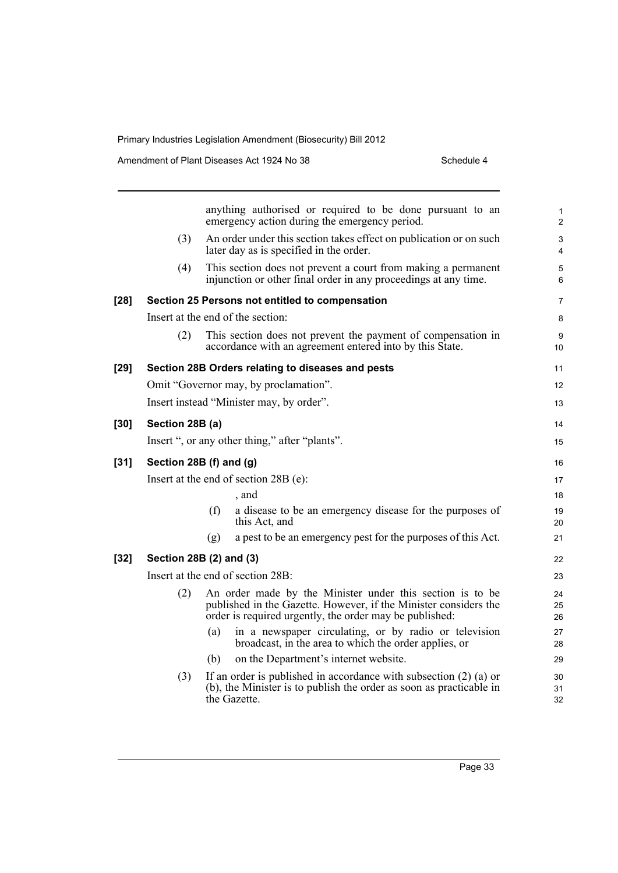|      |                                          |     | anything authorised or required to be done pursuant to an<br>emergency action during the emergency period.                                                                               | 1<br>$\overline{\mathbf{c}}$ |  |  |  |
|------|------------------------------------------|-----|------------------------------------------------------------------------------------------------------------------------------------------------------------------------------------------|------------------------------|--|--|--|
|      | (3)                                      |     | An order under this section takes effect on publication or on such<br>later day as is specified in the order.                                                                            | 3<br>4                       |  |  |  |
|      | (4)                                      |     | This section does not prevent a court from making a permanent<br>injunction or other final order in any proceedings at any time.                                                         | 5<br>6                       |  |  |  |
| [28] |                                          |     | Section 25 Persons not entitled to compensation                                                                                                                                          | 7                            |  |  |  |
|      | Insert at the end of the section:        |     |                                                                                                                                                                                          |                              |  |  |  |
|      | (2)                                      |     | This section does not prevent the payment of compensation in<br>accordance with an agreement entered into by this State.                                                                 | 9<br>10                      |  |  |  |
| [29] |                                          |     | Section 28B Orders relating to diseases and pests                                                                                                                                        | 11                           |  |  |  |
|      |                                          |     | Omit "Governor may, by proclamation".                                                                                                                                                    | 12                           |  |  |  |
|      | Insert instead "Minister may, by order". |     |                                                                                                                                                                                          |                              |  |  |  |
| [30] | Section 28B (a)                          |     |                                                                                                                                                                                          |                              |  |  |  |
|      |                                          |     | Insert ", or any other thing," after "plants".                                                                                                                                           | 15                           |  |  |  |
| [31] | Section 28B (f) and (g)                  |     |                                                                                                                                                                                          |                              |  |  |  |
|      | Insert at the end of section 28B (e):    |     |                                                                                                                                                                                          |                              |  |  |  |
|      |                                          |     | , and                                                                                                                                                                                    | 18                           |  |  |  |
|      |                                          | (f) | a disease to be an emergency disease for the purposes of<br>this Act, and                                                                                                                | 19<br>20                     |  |  |  |
|      |                                          | (g) | a pest to be an emergency pest for the purposes of this Act.                                                                                                                             | 21                           |  |  |  |
| [32] | Section 28B (2) and (3)                  |     |                                                                                                                                                                                          |                              |  |  |  |
|      | Insert at the end of section 28B:        |     |                                                                                                                                                                                          |                              |  |  |  |
|      | (2)                                      |     | An order made by the Minister under this section is to be<br>published in the Gazette. However, if the Minister considers the<br>order is required urgently, the order may be published: | 24<br>25<br>26               |  |  |  |
|      |                                          | (a) | in a newspaper circulating, or by radio or television<br>broadcast, in the area to which the order applies, or                                                                           | 27<br>28                     |  |  |  |
|      |                                          | (b) | on the Department's internet website.                                                                                                                                                    | 29                           |  |  |  |
|      | (3)                                      |     | If an order is published in accordance with subsection $(2)$ (a) or<br>(b), the Minister is to publish the order as soon as practicable in<br>the Gazette.                               | 30<br>31<br>32               |  |  |  |